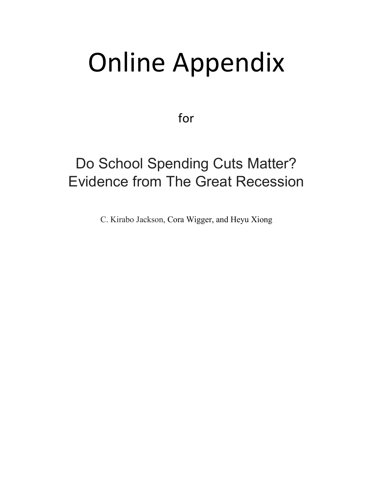# Online Appendix

for

# Do School Spending Cuts Matter? Evidence from The Great Recession

C. Kirabo Jackson, Cora Wigger, and Heyu Xiong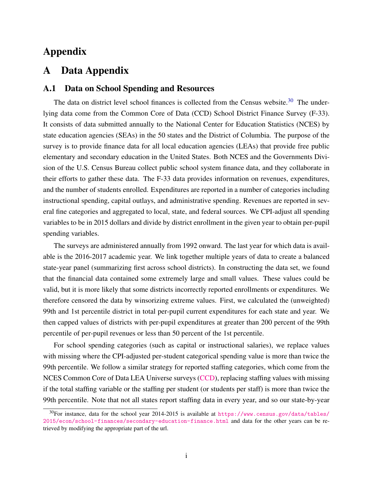## Appendix

## A Data Appendix

#### A.1 Data on School Spending and Resources

The data on district level school finances is collected from the Census website.<sup>[30](#page--1-0)</sup> The underlying data come from the Common Core of Data (CCD) School District Finance Survey (F-33). It consists of data submitted annually to the National Center for Education Statistics (NCES) by state education agencies (SEAs) in the 50 states and the District of Columbia. The purpose of the survey is to provide finance data for all local education agencies (LEAs) that provide free public elementary and secondary education in the United States. Both NCES and the Governments Division of the U.S. Census Bureau collect public school system finance data, and they collaborate in their efforts to gather these data. The F-33 data provides information on revenues, expenditures, and the number of students enrolled. Expenditures are reported in a number of categories including instructional spending, capital outlays, and administrative spending. Revenues are reported in several fine categories and aggregated to local, state, and federal sources. We CPI-adjust all spending variables to be in 2015 dollars and divide by district enrollment in the given year to obtain per-pupil spending variables.

The surveys are administered annually from 1992 onward. The last year for which data is available is the 2016-2017 academic year. We link together multiple years of data to create a balanced state-year panel (summarizing first across school districts). In constructing the data set, we found that the financial data contained some extremely large and small values. These values could be valid, but it is more likely that some districts incorrectly reported enrollments or expenditures. We therefore censored the data by winsorizing extreme values. First, we calculated the (unweighted) 99th and 1st percentile district in total per-pupil current expenditures for each state and year. We then capped values of districts with per-pupil expenditures at greater than 200 percent of the 99th percentile of per-pupil revenues or less than 50 percent of the 1st percentile.

For school spending categories (such as capital or instructional salaries), we replace values with missing where the CPI-adjusted per-student categorical spending value is more than twice the 99th percentile. We follow a similar strategy for reported staffing categories, which come from the NCES Common Core of Data LEA Universe surveys [\(CCD\)](https://nces.ed.gov/ccd/pubagency.asp), replacing staffing values with missing if the total staffing variable or the staffing per student (or students per staff) is more than twice the 99th percentile. Note that not all states report staffing data in every year, and so our state-by-year

 $30$ For instance, data for the school year 2014-2015 is available at [https://www.census.gov/data/tables/](https://www.census.gov/data/tables/2015/econ/school-finances/secondary-education-finance.html) [2015/econ/school-finances/secondary-education-finance.html](https://www.census.gov/data/tables/2015/econ/school-finances/secondary-education-finance.html) and data for the other years can be retrieved by modifying the appropriate part of the url.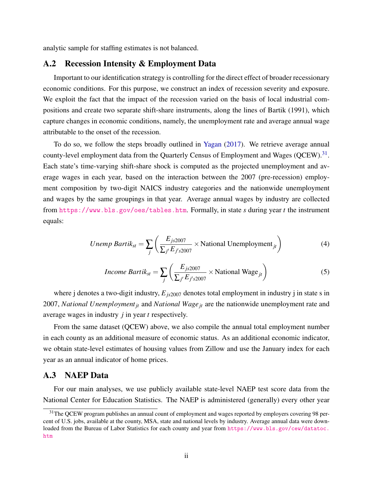analytic sample for staffing estimates is not balanced.

#### A.2 Recession Intensity & Employment Data

Important to our identification strategy is controlling for the direct effect of broader recessionary economic conditions. For this purpose, we construct an index of recession severity and exposure. We exploit the fact that the impact of the recession varied on the basis of local industrial compositions and create two separate shift-share instruments, along the lines of Bartik (1991), which capture changes in economic conditions, namely, the unemployment rate and average annual wage attributable to the onset of the recession.

To do so, we follow the steps broadly outlined in [Yagan](#page--1-1) [\(2017\)](#page--1-1). We retrieve average annual county-level employment data from the Quarterly Census of Employment and Wages (QCEW).<sup>[31](#page--1-0)</sup>. Each state's time-varying shift-share shock is computed as the projected unemployment and average wages in each year, based on the interaction between the 2007 (pre-recession) employment composition by two-digit NAICS industry categories and the nationwide unemployment and wages by the same groupings in that year. Average annual wages by industry are collected from <https://www.bls.gov/oes/tables.htm>. Formally, in state *s* during year *t* the instrument equals:

*Unemp Bartik<sub>st</sub>* = 
$$
\sum_{j} \left( \frac{E_{js2007}}{\sum_{j'} E_{j's2007}} \times National Unemplogment_{jt} \right)
$$
 (4)

*Income Bartik<sub>st</sub>* = 
$$
\sum_{j} \left( \frac{E_{js2007}}{\sum_{j'} E_{j's2007}} \times \text{National Wage}_{jt} \right)
$$
 (5)

where j denotes a two-digit industry,  $E_{is2007}$  denotes total employment in industry j in state s in 2007, *National Unemploymentjt* and *National Wage jt* are the nationwide unemployment rate and average wages in industry *j* in year *t* respectively.

From the same dataset (QCEW) above, we also compile the annual total employment number in each county as an additional measure of economic status. As an additional economic indicator, we obtain state-level estimates of housing values from Zillow and use the January index for each year as an annual indicator of home prices.

#### A.3 NAEP Data

For our main analyses, we use publicly available state-level NAEP test score data from the National Center for Education Statistics. The NAEP is administered (generally) every other year

<sup>&</sup>lt;sup>31</sup>The QCEW program publishes an annual count of employment and wages reported by employers covering 98 percent of U.S. jobs, available at the county, MSA, state and national levels by industry. Average annual data were downloaded from the Bureau of Labor Statistics for each county and year from [https://www.bls.gov/cew/datatoc.](https://www.bls.gov/cew/datatoc.htm) [htm](https://www.bls.gov/cew/datatoc.htm)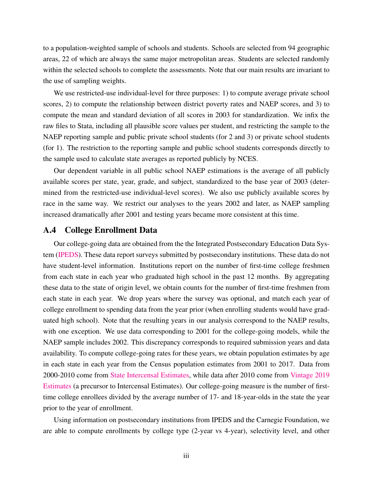to a population-weighted sample of schools and students. Schools are selected from 94 geographic areas, 22 of which are always the same major metropolitan areas. Students are selected randomly within the selected schools to complete the assessments. Note that our main results are invariant to the use of sampling weights.

We use restricted-use individual-level for three purposes: 1) to compute average private school scores, 2) to compute the relationship between district poverty rates and NAEP scores, and 3) to compute the mean and standard deviation of all scores in 2003 for standardization. We infix the raw files to Stata, including all plausible score values per student, and restricting the sample to the NAEP reporting sample and public private school students (for 2 and 3) or private school students (for 1). The restriction to the reporting sample and public school students corresponds directly to the sample used to calculate state averages as reported publicly by NCES.

Our dependent variable in all public school NAEP estimations is the average of all publicly available scores per state, year, grade, and subject, standardized to the base year of 2003 (determined from the restricted-use individual-level scores). We also use publicly available scores by race in the same way. We restrict our analyses to the years 2002 and later, as NAEP sampling increased dramatically after 2001 and testing years became more consistent at this time.

#### A.4 College Enrollment Data

Our college-going data are obtained from the the Integrated Postsecondary Education Data System [\(IPEDS\)](https://nces.ed.gov/ipeds/). These data report surveys submitted by postsecondary institutions. These data do not have student-level information. Institutions report on the number of first-time college freshmen from each state in each year who graduated high school in the past 12 months. By aggregating these data to the state of origin level, we obtain counts for the number of first-time freshmen from each state in each year. We drop years where the survey was optional, and match each year of college enrollment to spending data from the year prior (when enrolling students would have graduated high school). Note that the resulting years in our analysis correspond to the NAEP results, with one exception. We use data corresponding to 2001 for the college-going models, while the NAEP sample includes 2002. This discrepancy corresponds to required submission years and data availability. To compute college-going rates for these years, we obtain population estimates by age in each state in each year from the Census population estimates from 2001 to 2017. Data from 2000-2010 come from [State Intercensal Estimates,](https://www.census.gov/data/datasets/time-series/demo/popest/intercensal-2000-2010-state.html) while data after 2010 come from [Vintage 2019](https://www.census.gov/data/tables/time-series/demo/popest/2010s-state-detail.html) [Estimates](https://www.census.gov/data/tables/time-series/demo/popest/2010s-state-detail.html) (a precursor to Intercensal Estimates). Our college-going measure is the number of firsttime college enrollees divided by the average number of 17- and 18-year-olds in the state the year prior to the year of enrollment.

Using information on postsecondary institutions from IPEDS and the Carnegie Foundation, we are able to compute enrollments by college type (2-year vs 4-year), selectivity level, and other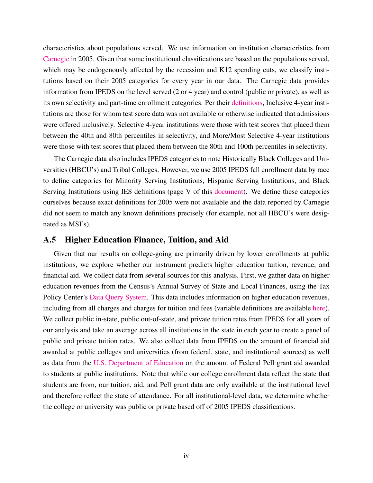characteristics about populations served. We use information on institution characteristics from [Carnegie](http://carnegieclassifications.iu.edu/downloads.php) in 2005. Given that some institutional classifications are based on the populations served, which may be endogenously affected by the recession and K12 spending cuts, we classify institutions based on their 2005 categories for every year in our data. The Carnegie data provides information from IPEDS on the level served (2 or 4 year) and control (public or private), as well as its own selectivity and part-time enrollment categories. Per their [definitions,](http://carnegieclassifications.iu.edu/) Inclusive 4-year institutions are those for whom test score data was not available or otherwise indicated that admissions were offered inclusively. Selective 4-year institutions were those with test scores that placed them between the 40th and 80th percentiles in selectivity, and More/Most Selective 4-year institutions were those with test scores that placed them between the 80th and 100th percentiles in selectivity.

The Carnegie data also includes IPEDS categories to note Historically Black Colleges and Universities (HBCU's) and Tribal Colleges. However, we use 2005 IPEDS fall enrollment data by race to define categories for Minority Serving Institutions, Hispanic Serving Institutions, and Black Serving Institutions using IES definitions (page V of this [document\)](http://carnegieclassifications.iu.edu/). We define these categories ourselves because exact definitions for 2005 were not available and the data reported by Carnegie did not seem to match any known definitions precisely (for example, not all HBCU's were designated as MSI's).

#### A.5 Higher Education Finance, Tuition, and Aid

Given that our results on college-going are primarily driven by lower enrollments at public institutions, we explore whether our instrument predicts higher education tuition, revenue, and financial aid. We collect data from several sources for this analysis. First, we gather data on higher education revenues from the Census's Annual Survey of State and Local Finances, using the Tax Policy Center's [Data Query System.](https://slfdqs.taxpolicycenter.org/pages.cfm) This data includes information on higher education revenues, including from all charges and charges for tuition and fees (variable definitions are available [here\)](https://www2.census.gov/govs/pubs/classification/2006_classification_manual.pdf). We collect public in-state, public out-of-state, and private tuition rates from IPEDS for all years of our analysis and take an average across all institutions in the state in each year to create a panel of public and private tuition rates. We also collect data from IPEDS on the amount of financial aid awarded at public colleges and universities (from federal, state, and institutional sources) as well as data from the [U.S. Department of Education](https://www2.ed.gov/finaid/prof/resources/data/pell-institution.html) on the amount of Federal Pell grant aid awarded to students at public institutions. Note that while our college enrollment data reflect the state that students are from, our tuition, aid, and Pell grant data are only available at the institutional level and therefore reflect the state of attendance. For all institutional-level data, we determine whether the college or university was public or private based off of 2005 IPEDS classifications.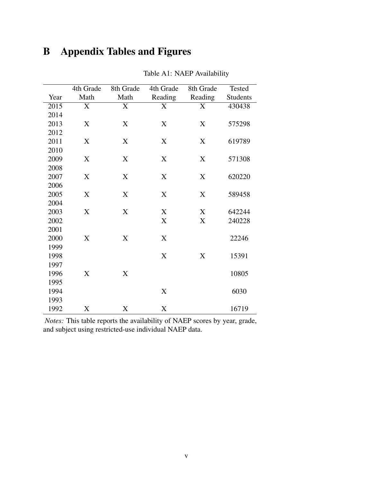# B Appendix Tables and Figures

<span id="page-5-0"></span>

|      | 4th Grade | 8th Grade | 4th Grade | 8th Grade | Tested          |
|------|-----------|-----------|-----------|-----------|-----------------|
| Year | Math      | Math      | Reading   | Reading   | <b>Students</b> |
| 2015 | X         | X         | X         | X         | 430438          |
| 2014 |           |           |           |           |                 |
| 2013 | X         | X         | X         | X         | 575298          |
| 2012 |           |           |           |           |                 |
| 2011 | X         | X         | X         | X         | 619789          |
| 2010 |           |           |           |           |                 |
| 2009 | X         | X         | X         | X         | 571308          |
| 2008 |           |           |           |           |                 |
| 2007 | X         | X         | X         | X         | 620220          |
| 2006 |           |           |           |           |                 |
| 2005 | X         | X         | X         | X         | 589458          |
| 2004 |           |           |           |           |                 |
| 2003 | X         | X         | X         | X         | 642244          |
| 2002 |           |           | X         | X         | 240228          |
| 2001 |           |           |           |           |                 |
| 2000 | X         | X         | X         |           | 22246           |
| 1999 |           |           |           |           |                 |
| 1998 |           |           | X         | X         | 15391           |
| 1997 |           |           |           |           |                 |
| 1996 | X         | X         |           |           | 10805           |
| 1995 |           |           |           |           |                 |
| 1994 |           |           | X         |           | 6030            |
| 1993 |           |           |           |           |                 |
| 1992 | X         | X         | X         |           | 16719           |

Table A1: NAEP Availability

*Notes:* This table reports the availability of NAEP scores by year, grade, and subject using restricted-use individual NAEP data.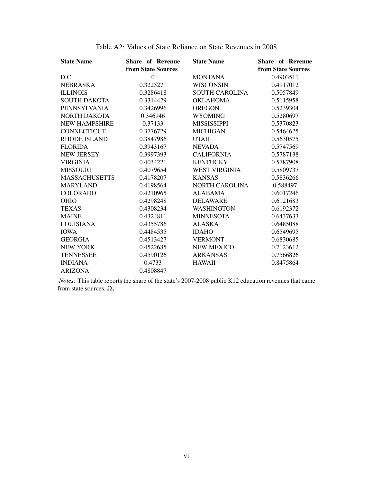| <b>State Name</b>    | <b>Share of Revenue</b> | <b>State Name</b>     | <b>Share of Revenue</b> |
|----------------------|-------------------------|-----------------------|-------------------------|
|                      | from State Sources      |                       | from State Sources      |
| D.C.                 | $\boldsymbol{0}$        | <b>MONTANA</b>        | 0.4903511               |
| <b>NEBRASKA</b>      | 0.3225271               | <b>WISCONSIN</b>      | 0.4917012               |
| <b>ILLINOIS</b>      | 0.3286418               | <b>SOUTH CAROLINA</b> | 0.5057849               |
| <b>SOUTH DAKOTA</b>  | 0.3314429               | <b>OKLAHOMA</b>       | 0.5115958               |
| <b>PENNSYLVANIA</b>  | 0.3426996               | <b>OREGON</b>         | 0.5239304               |
| NORTH DAKOTA         | 0.346946                | <b>WYOMING</b>        | 0.5280697               |
| <b>NEW HAMPSHIRE</b> | 0.37133                 | <b>MISSISSIPPI</b>    | 0.5370823               |
| <b>CONNECTICUT</b>   | 0.3776729               | <b>MICHIGAN</b>       | 0.5464625               |
| RHODE ISLAND         | 0.3847986               | <b>UTAH</b>           | 0.5630575               |
| <b>FLORIDA</b>       | 0.3943167               | <b>NEVADA</b>         | 0.5747569               |
| <b>NEW JERSEY</b>    | 0.3997393               | <b>CALIFORNIA</b>     | 0.5787138               |
| <b>VIRGINIA</b>      | 0.4034221               | <b>KENTUCKY</b>       | 0.5787908               |
| <b>MISSOURI</b>      | 0.4079654               | <b>WEST VIRGINIA</b>  | 0.5809737               |
| <b>MASSACHUSETTS</b> | 0.4178207               | <b>KANSAS</b>         | 0.5836266               |
| <b>MARYLAND</b>      | 0.4198564               | <b>NORTH CAROLINA</b> | 0.588497                |
| <b>COLORADO</b>      | 0.4210965               | <b>ALABAMA</b>        | 0.6017246               |
| <b>OHIO</b>          | 0.4298248               | <b>DELAWARE</b>       | 0.6121683               |
| <b>TEXAS</b>         | 0.4308234               | <b>WASHINGTON</b>     | 0.6192372               |
| <b>MAINE</b>         | 0.4324811               | <b>MINNESOTA</b>      | 0.6437633               |
| LOUISIANA            | 0.4355786               | ALASKA                | 0.6485088               |
| <b>IOWA</b>          | 0.4484535               | <b>IDAHO</b>          | 0.6549695               |
| <b>GEORGIA</b>       | 0.4513427               | <b>VERMONT</b>        | 0.6830685               |
| <b>NEW YORK</b>      | 0.4522685               | <b>NEW MEXICO</b>     | 0.7123612               |
| <b>TENNESSEE</b>     | 0.4590126               | <b>ARKANSAS</b>       | 0.7566826               |
| <b>INDIANA</b>       | 0.4733                  | <b>HAWAII</b>         | 0.8475864               |
| <b>ARIZONA</b>       | 0.4808847               |                       |                         |

Table A2: Values of State Reliance on State Revenues in 2008

*Notes:* This table reports the share of the state's 2007-2008 public K12 education revenues that came from state sources, Ω*<sup>s</sup>* .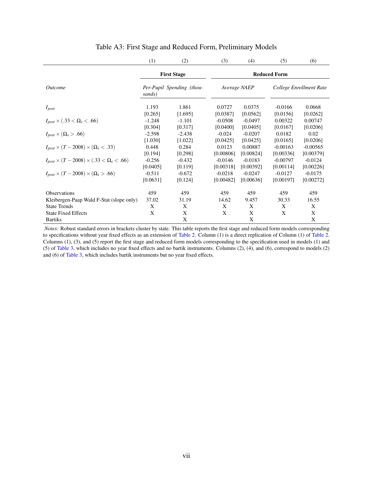<span id="page-7-0"></span>

|                                                            | (1)      | (2)                       | (3)                 | (4)          | (5)        | (6)                     |  |
|------------------------------------------------------------|----------|---------------------------|---------------------|--------------|------------|-------------------------|--|
|                                                            |          | <b>First Stage</b>        | <b>Reduced Form</b> |              |            |                         |  |
| <i><u><b>Outcome</b></u></i>                               | sands)   | Per-Pupil Spending (thou- |                     | Average NAEP |            | College Enrollment Rate |  |
| $I_{post}$                                                 | 1.193    | 1.861                     | 0.0727              | 0.0375       | $-0.0166$  | 0.0668                  |  |
|                                                            | [0.265]  | [1.695]                   | [0.0387]            | [0.0562]     | [0.0156]   | [0.0262]                |  |
| $I_{post} \times (.33 < \Omega_s < .66)$                   | $-1.248$ | $-1.101$                  | $-0.0508$           | $-0.0497$    | 0.00322    | 0.00747                 |  |
|                                                            | [0.304]  | [0.317]                   | [0.0400]            | [0.0405]     | [0.0167]   | [0.0206]                |  |
| $I_{post} \times (\Omega_s > .66)$                         | $-2.598$ | $-2.438$                  | $-0.024$            | $-0.0207$    | 0.0182     | 0.02                    |  |
|                                                            | [1.030]  | [1.022]                   | [0.0425]            | [0.0425]     | [0.0165]   | [0.0206]                |  |
| $I_{post} \times (T - 2008) \times (\Omega_s < .33)$       | 0.448    | 0.284                     | 0.0123              | 0.00887      | $-0.00163$ | $-0.00565$              |  |
|                                                            | [0.194]  | [0.298]                   | [0.00806]           | [0.00824]    | [0.00336]  | [0.00379]               |  |
| $I_{post} \times (T - 2008) \times (.33 < \Omega_s < .66)$ | $-0.256$ | $-0.432$                  | $-0.0146$           | $-0.0183$    | $-0.00797$ | $-0.0124$               |  |
|                                                            | [0.0405] | [0.119]                   | [0.00318]           | [0.00392]    | [0.00114]  | [0.00226]               |  |
| $I_{post} \times (T - 2008) \times (\Omega_s > .66)$       | $-0.511$ | $-0.672$                  | $-0.0218$           | $-0.0247$    | $-0.0127$  | $-0.0175$               |  |
|                                                            | [0.0631] | [0.124]                   | [0.00482]           | [0.00636]    | [0.00197]  | [0.00272]               |  |
| <b>Observations</b>                                        | 459      | 459                       | 459                 | 459          | 459        | 459                     |  |
| Kleibergen-Paap Wald F-Stat (slope only)                   | 37.02    | 31.19                     | 14.62               | 9.457        | 30.33      | 16.55                   |  |
| <b>State Trends</b>                                        | X        | X                         | X                   | X            | X          | X                       |  |
| <b>State Fixed Effects</b>                                 | X        | X                         | X                   | X            | X          | X                       |  |
| <b>Bartiks</b>                                             |          | X                         |                     | X            |            | X                       |  |

#### Table A3: First Stage and Reduced Form, Preliminary Models

*Notes:* Robust standard errors in brackets cluster by state. This table reports the first stage and reduced form models corresponding to specifications without year fixed effects as an extension of [Table 2.](#page--1-2) Column (1) is a direct replication of Column (1) of [Table 2.](#page--1-2) Columns (1), (3), and (5) report the first stage and reduced form models corresponding to the specification used in models (1) and (5) of [Table 3,](#page--1-3) which includes no year fixed effects and no bartik instruments. Columns (2), (4), and (6), correspond to models (2) and (6) of [Table 3,](#page--1-3) which includes bartik instruments but no year fixed effects.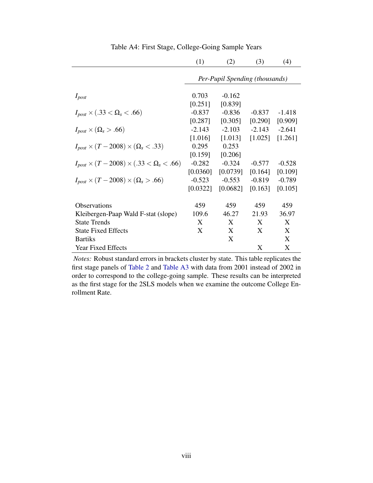|                                                            | (1)                            | (2)      | (3)      | (4)      |  |  |  |  |
|------------------------------------------------------------|--------------------------------|----------|----------|----------|--|--|--|--|
|                                                            | Per-Pupil Spending (thousands) |          |          |          |  |  |  |  |
|                                                            |                                |          |          |          |  |  |  |  |
| $I_{post}$                                                 | 0.703                          | $-0.162$ |          |          |  |  |  |  |
|                                                            | [0.251]                        | [0.839]  |          |          |  |  |  |  |
| $I_{post} \times (.33 < \Omega_s < .66)$                   | $-0.837$                       | $-0.836$ | $-0.837$ | $-1.418$ |  |  |  |  |
|                                                            | [0.287]                        | [0.305]  | [0.290]  | [0.909]  |  |  |  |  |
| $I_{post} \times (\Omega_s > .66)$                         | $-2.143$                       | $-2.103$ | $-2.143$ | $-2.641$ |  |  |  |  |
|                                                            | [1.016]                        | [1.013]  | [1.025]  | [1.261]  |  |  |  |  |
| $I_{post} \times (T - 2008) \times (\Omega_s < .33)$       | 0.295                          | 0.253    |          |          |  |  |  |  |
|                                                            | [0.159]                        | [0.206]  |          |          |  |  |  |  |
| $I_{post} \times (T - 2008) \times (.33 < \Omega_s < .66)$ | $-0.282$                       | $-0.324$ | $-0.577$ | $-0.528$ |  |  |  |  |
|                                                            | [0.0360]                       | [0.0739] | [0.164]  | [0.109]  |  |  |  |  |
| $I_{post} \times (T - 2008) \times (\Omega_s > .66)$       | $-0.523$                       | $-0.553$ | $-0.819$ | $-0.789$ |  |  |  |  |
|                                                            | [0.0322]                       | [0.0682] | [0.163]  | [0.105]  |  |  |  |  |
|                                                            |                                |          |          |          |  |  |  |  |
| Observations                                               | 459                            | 459      | 459      | 459      |  |  |  |  |
| Kleibergen-Paap Wald F-stat (slope)                        | 109.6                          | 46.27    | 21.93    | 36.97    |  |  |  |  |
| <b>State Trends</b>                                        | X                              | X        | X        | X        |  |  |  |  |
| <b>State Fixed Effects</b>                                 | X                              | X        | X        | X        |  |  |  |  |
| <b>Bartiks</b>                                             |                                | X        |          | X        |  |  |  |  |
| <b>Year Fixed Effects</b>                                  |                                |          | X        | X        |  |  |  |  |

Table A4: First Stage, College-Going Sample Years

*Notes:* Robust standard errors in brackets cluster by state. This table replicates the first stage panels of [Table 2](#page--1-2) and [Table A3](#page-7-0) with data from 2001 instead of 2002 in order to correspond to the college-going sample. These results can be interpreted as the first stage for the 2SLS models when we examine the outcome College Enrollment Rate.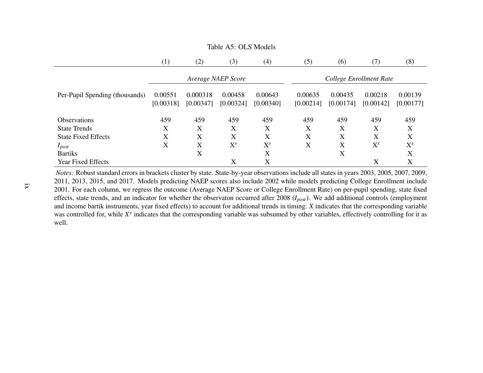|                                | (1)                  | (2)                   | (3)                  | (4)                  | (5)                     | (6)                  | (7)                  | (8)                  |  |
|--------------------------------|----------------------|-----------------------|----------------------|----------------------|-------------------------|----------------------|----------------------|----------------------|--|
|                                |                      |                       | Average NAEP Score   |                      | College Enrollment Rate |                      |                      |                      |  |
| Per-Pupil Spending (thousands) | 0.00551<br>[0.00318] | 0.000318<br>[0.00347] | 0.00458<br>[0.00324] | 0.00643<br>[0.00340] | 0.00635<br>[0.00214]    | 0.00435<br>[0.00174] | 0.00218<br>[0.00142] | 0.00139<br>[0.00177] |  |
| <b>Observations</b>            | 459                  | 459                   | 459                  | 459                  | 459                     | 459                  | 459                  | 459                  |  |
| <b>State Trends</b>            | X                    | X                     | X                    | X                    | X                       | X                    | X                    | X                    |  |
| <b>State Fixed Effects</b>     | X                    | X                     | X                    | X                    | X                       | X                    | X                    | Χ                    |  |
| $I_{post}$                     | X                    | X                     | $X^{s}$              | $X^{s}$              | X                       | X                    | $X^{s}$              | $X^s$                |  |
| <b>Bartiks</b>                 |                      | X                     |                      | X                    |                         | X                    |                      | X                    |  |
| <b>Year Fixed Effects</b>      |                      |                       | X                    | X                    |                         |                      | X                    | X                    |  |

#### Table A5: OLS Models

 *Notes:* Robust standard errors in brackets cluster by state. State-by-year observations include all states in years 2003, 2005, 2007, 2009, 2011, 2013, 2015, and 2017. Models predicting NAEP scores also include 2002 while models predicting College Enrollment include 2001. For each column, we regress the outcome (Average NAEP Score or College Enrollment Rate) on per-pupil spending, state fixed effects, state trends, and an indicator for whether the observaton occurred after <sup>2008</sup> (*Ipos<sup>t</sup>*). We add additional controls (employment and income bartik instruments, year fixed effects) to account for additional trends in timing. *X* indicates that the corresponding variable was controlled for, while *<sup>X</sup><sup>s</sup>* indicates that the corresponding variable was subsumed by other variables, effectively controlling for it as well.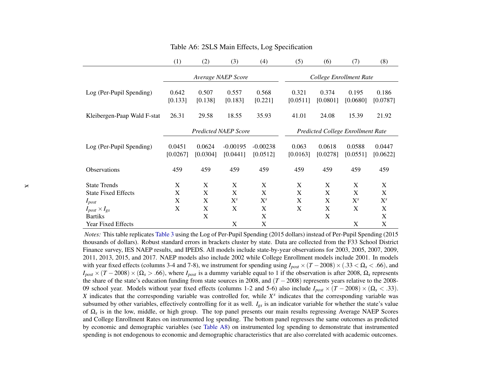|                                                   | (1)                            | (2)                         | (3)                            | (4)                    | (5)                     | (6)                                      | (7)                | (8)                        |  |
|---------------------------------------------------|--------------------------------|-----------------------------|--------------------------------|------------------------|-------------------------|------------------------------------------|--------------------|----------------------------|--|
|                                                   |                                |                             | Average NAEP Score             |                        | College Enrollment Rate |                                          |                    |                            |  |
| Log (Per-Pupil Spending)                          | 0.642<br>[0.133]               | 0.507<br>[0.138]            | 0.557<br>[0.183]               | 0.568<br>[0.221]       | 0.321<br>[0.0511]       | 0.374<br>[0.0801]                        | 0.195<br>[0.0680]  | 0.186<br>[0.0787]          |  |
| Kleibergen-Paap Wald F-stat                       | 26.31                          | 29.58                       | 18.55                          | 35.93                  | 41.01                   | 24.08                                    | 15.39              | 21.92                      |  |
|                                                   |                                | <b>Predicted NAEP Score</b> |                                |                        |                         | <b>Predicted College Enrollment Rate</b> |                    |                            |  |
| Log (Per-Pupil Spending)                          | 0.0451<br>[0.0267]             | 0.0624<br>[0.0304]          | $-0.00195$<br>[0.0441]         | $-0.00238$<br>[0.0512] | 0.063<br>[0.0163]       | 0.0618<br>[0.0278]                       | 0.0588<br>[0.0551] | 0.0447<br>[0.0622]         |  |
| <b>Observations</b>                               | 459                            | 459                         | 459                            | 459                    | 459                     | 459                                      | 459                | 459                        |  |
| <b>State Trends</b><br><b>State Fixed Effects</b> | $\boldsymbol{\mathrm{X}}$<br>X | X<br>X                      | $\boldsymbol{\mathrm{X}}$<br>X | X<br>X                 | X<br>X                  | X<br>X                                   | X<br>X             | $\mathbf X$<br>$\mathbf X$ |  |
| $I_{post}$                                        | X                              | X                           | $X^s$                          | $X^s$                  | X                       | X                                        | $X^s$              | $X^{s}$                    |  |
| $I_{post} \times I_{gs}$                          | X                              | X                           | X                              | X                      | X                       | X                                        | X                  | X                          |  |
| <b>Bartiks</b>                                    |                                | $\boldsymbol{\mathrm{X}}$   |                                | X                      |                         | X                                        |                    | $\mathbf X$                |  |
| Year Fixed Effects                                |                                |                             | $\boldsymbol{\mathrm{X}}$      | X                      |                         |                                          | X                  | X                          |  |

#### Table A6: 2SLS Main Effects, Log Specification

 *Notes:* This table replicates [Table](#page--1-4) <sup>3</sup> using the Log of Per-Pupil Spending (2015 dollars) instead of Per-Pupil Spending (2015 thousands of dollars). Robust standard errors in brackets cluster by state. Data are collected from the F33 School District Finance survey, IES NAEP results, and IPEDS. All models include state-by-year observations for 2003, 2005, 2007, 2009,2011, 2013, 2015, and 2017. NAEP models also include 2002 while College Enrollment models include 2001. In modelswith year fixed effects (columns 3-4 and 7-8), we instrument for spending using  $I_{post} \times (T - 2008) \times (0.33 < \Omega_s < 0.66)$ , and  $I_{post} \times (T - 2008) \times (0.33 < \Omega_s < 0.66)$ .  $I_{post} \times (T - 2008) \times (\Omega_s > .66)$ , where  $I_{post}$  is a dummy variable equal to 1 if the observation is after 2008,  $\Omega_s$  represents the share of the state's education funding from state sources in 2008, and  $(T - 2008)$  represents years relative to the 2008-09 school year. Models without year fixed effects (columns 1-2 and 5-6) also include  $I_{post}$   $\times$ (*T* − 2008) × ( $\Omega_s$  < .33). *X* indicates that the corresponding variable was controlled for, while *X<sup>s</sup>* indicates that the corresponding variable was controlled for, while *X<sup>s</sup>* indicates that the corresponding vari subsumed by other variables, effectively controlling for it as well. *<sup>I</sup>gs* is an indicator variable for whether the state's value of <sup>Ω</sup>*<sup>s</sup>* is in the low, middle, or high group. The top pane<sup>l</sup> presents our main results regressing Average NAEP Scores and College Enrollment Rates on instrumented log spending. The bottom panel regresses the same outcomes as predicted by economic and demographic variables (see [Table](#page-13-0) A8) on instrumented log spending to demonstrate that instrumentedspending is not endogenous to economic and demographic characteristics that are also correlated with academic outcomes.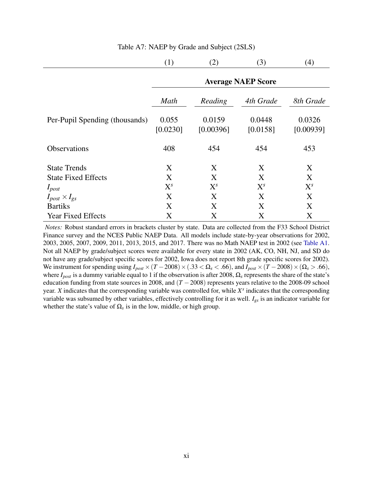|                                | (1)                       | (2)                 | (3)                | (4)                 |  |  |  |  |  |
|--------------------------------|---------------------------|---------------------|--------------------|---------------------|--|--|--|--|--|
|                                | <b>Average NAEP Score</b> |                     |                    |                     |  |  |  |  |  |
|                                | Math                      | Reading             | 4th Grade          | 8th Grade           |  |  |  |  |  |
| Per-Pupil Spending (thousands) | 0.055<br>[0.0230]         | 0.0159<br>[0.00396] | 0.0448<br>[0.0158] | 0.0326<br>[0.00939] |  |  |  |  |  |
| <b>Observations</b>            | 408                       | 454                 | 454                | 453                 |  |  |  |  |  |
| <b>State Trends</b>            | X                         | X                   | X                  | X                   |  |  |  |  |  |
| <b>State Fixed Effects</b>     | X                         | X                   | X                  | X                   |  |  |  |  |  |
| $I_{post}$                     | $X^{s}$                   | $X^{s}$             | $X^{s}$            | $X^{s}$             |  |  |  |  |  |
| $I_{post} \times I_{gs}$       | X                         | X                   | X                  | X                   |  |  |  |  |  |
| <b>Bartiks</b>                 | X                         | X                   | X                  | X                   |  |  |  |  |  |
| <b>Year Fixed Effects</b>      | X                         | X                   | X                  | X                   |  |  |  |  |  |

#### Table A7: NAEP by Grade and Subject (2SLS)

*Notes:* Robust standard errors in brackets cluster by state. Data are collected from the F33 School District Finance survey and the NCES Public NAEP Data. All models include state-by-year observations for 2002, 2003, 2005, 2007, 2009, 2011, 2013, 2015, and 2017. There was no Math NAEP test in 2002 (see [Table A1.](#page-5-0) Not all NAEP by grade/subject scores were available for every state in 2002 (AK, CO, NH, NJ, and SD do not have any grade/subject specific scores for 2002, Iowa does not report 8th grade specific scores for 2002). We instrument for spending using  $I_{post} \times (T - 2008) \times (0.33 \le \Omega_s \le .66)$ , and  $I_{post} \times (T - 2008) \times (0.33 \le .66)$ , where  $I_{post}$  is a dummy variable equal to 1 if the observation is after 2008,  $\Omega_s$  represents the share of the state's education funding from state sources in 2008, and (*T* −2008) represents years relative to the 2008-09 school year. *X* indicates that the corresponding variable was controlled for, while *X s* indicates that the corresponding variable was subsumed by other variables, effectively controlling for it as well. *Igs* is an indicator variable for whether the state's value of  $\Omega_s$  is in the low, middle, or high group.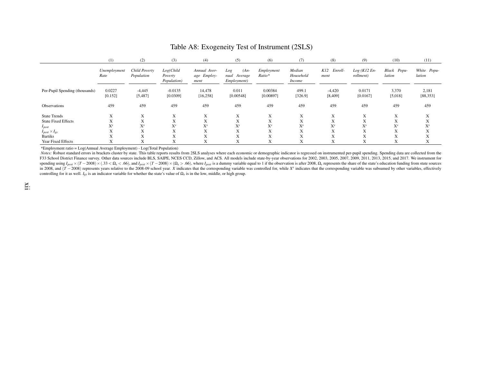|                                | (1)                       | (2)                         | (3)                                 | (4)                                 | (5)                                          | (6)                  | (7)                                  | (8)                       | (9)                        | (10)                  | (11)                  |
|--------------------------------|---------------------------|-----------------------------|-------------------------------------|-------------------------------------|----------------------------------------------|----------------------|--------------------------------------|---------------------------|----------------------------|-----------------------|-----------------------|
|                                | Unemployment<br>Rate      | Child Poverty<br>Population | Log(Child<br>Poverty<br>Population) | Annual Aver-<br>age Employ-<br>ment | $(An-$<br>Log<br>nual Average<br>Employment) | Employment<br>Ratio* | Median<br>Household<br><i>Income</i> | K12<br>Enroll-<br>ment    | $Log(K12 En-$<br>rollment) | Black Popu-<br>lation | White Popu-<br>lation |
| Per-Pupil Spending (thousands) | 0.0227<br>[0.152]         | $-4,445$<br>[5,487]         | $-0.0135$<br>[0.0309]               | 14,478<br>[16, 258]                 | 0.011<br>[0.00548]                           | 0.00384<br>[0.00897] | 499.1<br>[326.9]                     | $-4,420$<br>[8, 409]      | 0.0171<br>[0.0167]         | 3,370<br>[5,018]      | 2,181<br>[88, 353]    |
| Observations                   | 459                       | 459                         | 459                                 | 459                                 | 459                                          | 459                  | 459                                  | 459                       | 459                        | 459                   | 459                   |
| <b>State Trends</b>            | $\mathbf{v}$<br>$\Lambda$ | $\mathbf{v}$<br>$\Lambda$   | $\mathbf{v}$<br>A                   | $\mathbf{v}$<br>$\Lambda$           | $\mathbf{v}$<br>A                            | $\mathbf{v}$<br>A    | $\mathbf{v}$<br>$\Lambda$            | X                         | X                          | X                     | $\mathbf v$<br>A      |
| <b>State Fixed Effects</b>     | $\lambda$                 | $\Lambda$                   | $\Lambda$                           | $\Lambda$                           | $\Lambda$                                    | $\Lambda$            | л                                    | $\mathbf{v}$<br>$\Lambda$ | X                          | $\mathbf{v}$<br>A     | A                     |
| $I_{post}$                     | $X^s$                     | $X^{s}$                     | $X^s$                               | $X^s$                               | $X^s$                                        | $X^{s}$              | $X^{s}$                              | $X^s$                     | $X^s$                      | $X^{s}$               | $X^s$                 |
| $I_{post} \times I_{gs}$       | л                         | $\mathbf{v}$<br>$\Lambda$   | $\Lambda$                           | $\Lambda$                           | $\Lambda$                                    | $\mathbf{v}$<br>A    | л                                    | $\mathbf{v}$<br>л         | X                          | $\mathbf{v}$<br>A     | $\mathbf{v}$<br>A     |
| <b>Bartiks</b>                 | л                         | $\mathbf{v}$<br>$\Lambda$   | $x \in$<br>A                        | $\mathbf{v}$<br>$\Lambda$           | $\mathbf{v}$<br>$\Lambda$                    | $\mathbf{v}$<br>A    | $x \in \mathbb{R}$<br>л              | $\mathbf{v}$<br>л         | X                          | $\mathbf{v}$<br>A     | A                     |
| Year Fixed Effects             | л                         | $\Lambda$                   | A                                   | $\Lambda$                           | A                                            | A                    | $\mathbf{x}$<br>Δ                    | X                         | X                          | X                     | X                     |

#### Table A8: Exogeneity Test of Instrument (2SLS)

\*Employment ratio <sup>=</sup> Log(Annual Average Employment) - Log(Total Population)

Notes: Robust standard errors in brackets cluster by state. This table reports results from 2SLS analyses where each economic or demographic indicator is regressed on instrumented per-pupil spending. Spending data are coll F33 School District Finance survey. Other data sources include BLS, SAIPE, NCES CCD, Zillow, and ACS. All models include state-by-year observations for 2002, 2003, 2003, 2005, 2007, 2009, 2011, 2013, 2015, and 2017. We ins spending using  $I_{post} \times (T - 2008) \times (0.33 \le \Omega_s \le 0.66)$ , and  $I_{post} \times (T - 2008) \times (\Omega_s > 0.66)$ , where  $I_{post}$  is a dummy variable equal to 1 if the observation is after 2008,  $\Omega_s$  represents the share of the state's education fu spending using  $I_{post} \times (T - 2008) \times (0.33 < \Omega_s < 0.66)$ , and  $I_{post} \times (T - 2008) \times (\Omega_s > 0.66)$ , where  $I_{post}$  is a dummy variable equal to 1 if the observation is after 2008,  $\Omega_s$  represents the share of the state's education fund controlling for it as well. *<sup>I</sup>gs* is an indicator variable for whether the state's value of <sup>Ω</sup>*<sup>s</sup>* is in the low, middle, or high group.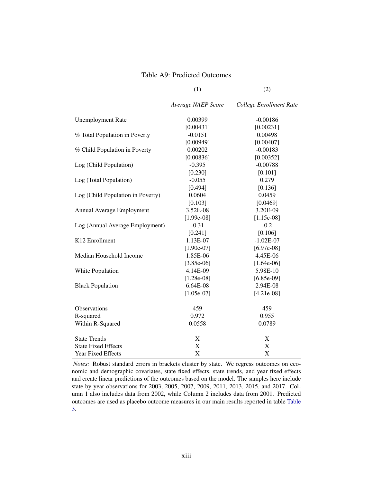|                                   | (1)                | (2)                     |
|-----------------------------------|--------------------|-------------------------|
|                                   | Average NAEP Score | College Enrollment Rate |
| <b>Unemployment Rate</b>          | 0.00399            | $-0.00186$              |
|                                   | [0.00431]          | [0.00231]               |
| % Total Population in Poverty     | $-0.0151$          | 0.00498                 |
|                                   | [0.00949]          | [0.00407]               |
| % Child Population in Poverty     | 0.00202            | $-0.00183$              |
|                                   | [0.00836]          | [0.00352]               |
| Log (Child Population)            | $-0.395$           | $-0.00788$              |
|                                   | [0.230]            | [0.101]                 |
| Log (Total Population)            | $-0.055$           | 0.279                   |
|                                   | [0.494]            | [0.136]                 |
| Log (Child Population in Poverty) | 0.0604             | 0.0459                  |
|                                   | [0.103]            | [0.0469]                |
| Annual Average Employment         | 3.52E-08           | 3.20E-09                |
|                                   | $[1.99e-08]$       | $[1.15e-08]$            |
| Log (Annual Average Employment)   | $-0.31$            | $-0.2$                  |
|                                   | [0.241]            | [0.106]                 |
| K12 Enrollment                    | 1.13E-07           | $-1.02E-07$             |
|                                   | $[1.90e-07]$       | $[6.97e-08]$            |
| Median Household Income           | 1.85E-06           | 4.45E-06                |
|                                   | $[3.85e-06]$       | $[1.64e-06]$            |
| White Population                  | 4.14E-09           | 5.98E-10                |
|                                   | $[1.28e-08]$       | $[6.85e-09]$            |
| <b>Black Population</b>           | 6.64E-08           | 2.94E-08                |
|                                   | $[1.05e-07]$       | $[4.21e-08]$            |
| Observations                      | 459                | 459                     |
| R-squared                         | 0.972              | 0.955                   |
| Within R-Squared                  | 0.0558             | 0.0789                  |
| <b>State Trends</b>               | X                  | X                       |
| <b>State Fixed Effects</b>        | X                  | X                       |
| <b>Year Fixed Effects</b>         | X                  | X                       |

<span id="page-13-0"></span>Table A9: Predicted Outcomes

*Notes:* Robust standard errors in brackets cluster by state. We regress outcomes on economic and demographic covariates, state fixed effects, state trends, and year fixed effects and create linear predictions of the outcomes based on the model. The samples here include state by year observations for 2003, 2005, 2007, 2009, 2011, 2013, 2015, and 2017. Column 1 also includes data from 2002, while Column 2 includes data from 2001. Predicted outcomes are used as placebo outcome measures in our main results reported in table [Table](#page--1-3) [3.](#page--1-3)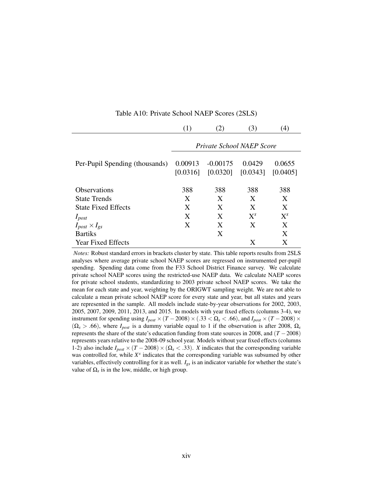|                                |                                  | $\left( 2\right)$ | (3)                             | $\left(4\right)$   |  |  |  |  |  |
|--------------------------------|----------------------------------|-------------------|---------------------------------|--------------------|--|--|--|--|--|
|                                | <i>Private School NAEP Score</i> |                   |                                 |                    |  |  |  |  |  |
| Per-Pupil Spending (thousands) | 0.00913<br>[0.0316]              | $-0.00175$        | 0.0429<br>$[0.0320]$ $[0.0343]$ | 0.0655<br>[0.0405] |  |  |  |  |  |
| <b>Observations</b>            | 388                              | 388               | 388                             | 388                |  |  |  |  |  |
| <b>State Trends</b>            | X                                | X                 | X                               | X                  |  |  |  |  |  |
| <b>State Fixed Effects</b>     | X                                | X                 | X                               | X                  |  |  |  |  |  |
| $I_{post}$                     | X                                | X                 | $X^{s}$                         | $X^{s}$            |  |  |  |  |  |
| $I_{post} \times I_{gs}$       | X                                | X                 | X                               | X                  |  |  |  |  |  |
| <b>Bartiks</b>                 |                                  | X                 |                                 | X                  |  |  |  |  |  |
| <b>Year Fixed Effects</b>      |                                  |                   | X                               | X                  |  |  |  |  |  |

Table A10: Private School NAEP Scores (2SLS)

*Notes:* Robust standard errors in brackets cluster by state. This table reports results from 2SLS analyses where average private school NAEP scores are regressed on instrumented per-pupil spending. Spending data come from the F33 School District Finance survey. We calculate private school NAEP scores using the restricted-use NAEP data. We calculate NAEP scores for private school students, standardizing to 2003 private school NAEP scores. We take the mean for each state and year, weighting by the ORIGWT sampling weight. We are not able to calculate a mean private school NAEP score for every state and year, but all states and years are represented in the sample. All models include state-by-year observations for 2002, 2003, 2005, 2007, 2009, 2011, 2013, and 2015. In models with year fixed effects (columns 3-4), we instrument for spending using  $I_{post} \times (T - 2008) \times (.33 < \Omega_s < .66)$ , and  $I_{post} \times (T - 2008) \times$  $(\Omega_s > .66)$ , where  $I_{post}$  is a dummy variable equal to 1 if the observation is after 2008,  $\Omega_s$ represents the share of the state's education funding from state sources in 2008, and (*T* −2008) represents years relative to the 2008-09 school year. Models without year fixed effects (columns 1-2) also include  $I_{post} \times (T - 2008) \times (\Omega_s < .33)$ . *X* indicates that the corresponding variable was controlled for, while  $X<sup>s</sup>$  indicates that the corresponding variable was subsumed by other variables, effectively controlling for it as well. *Igs* is an indicator variable for whether the state's value of  $\Omega_s$  is in the low, middle, or high group.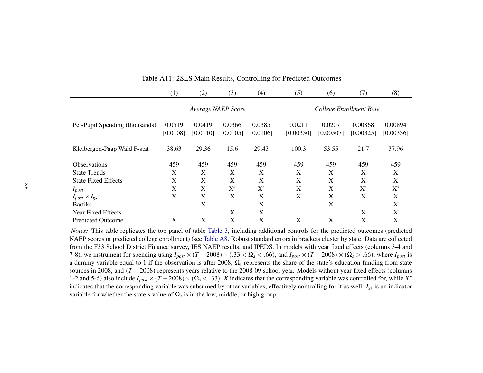|                                | (1)      | (2)      | (3)                | (4)                       | (5)                     | (6)       | (7)       | (8)       |  |
|--------------------------------|----------|----------|--------------------|---------------------------|-------------------------|-----------|-----------|-----------|--|
|                                |          |          | Average NAEP Score |                           | College Enrollment Rate |           |           |           |  |
| Per-Pupil Spending (thousands) | 0.0519   | 0.0419   | 0.0366             | 0.0385                    | 0.0211                  | 0.0207    | 0.00868   | 0.00894   |  |
|                                | [0.0108] | [0.0110] | [0.0105]           | [0.0106]                  | [0.00350]               | [0.00507] | [0.00325] | [0.00336] |  |
| Kleibergen-Paap Wald F-stat    | 38.63    | 29.36    | 15.6               | 29.43                     | 100.3                   | 53.55     | 21.7      | 37.96     |  |
| <b>Observations</b>            | 459      | 459      | 459                | 459                       | 459                     | 459       | 459       | 459       |  |
| <b>State Trends</b>            | X        | X        | X                  | X                         | X                       | X         | X         | X         |  |
| <b>State Fixed Effects</b>     | X        | X        | X                  | X                         | X                       | X         | X         | X         |  |
| $I_{post}$                     | X        | X        | $X^{s}$            | $X^{s}$                   | X                       | X         | $X^{s}$   | $X^{s}$   |  |
| $I_{post} \times I_{gs}$       | X        | X        | X                  | $\boldsymbol{\mathrm{X}}$ | X                       | X         | X         | X         |  |
| <b>Bartiks</b>                 |          | X        |                    | X                         |                         | X         |           | X         |  |
| <b>Year Fixed Effects</b>      |          |          | X                  | X                         |                         |           | X         | X         |  |
| <b>Predicted Outcome</b>       | X        | X        | X                  | X                         | X                       | X         | X         | X         |  |

Table A11: 2SLS Main Results, Controlling for Predicted Outcomes

 *Notes:* This table replicates the top pane<sup>l</sup> of table [Table](#page--1-4) 3, including additional controls for the predicted outcomes (predicted NAEP scores or predicted college enrollment) (see [Table](#page-13-0) A8. Robust standard errors in brackets cluster by state. Data are collected from the F33 School District Finance survey, IES NAEP results, and IPEDS. In models with year fixed effects (columns 3-4 and7-8), we instrument for spending using  $I_{post} \times (T - 2008) \times (0.33 < \Omega_s < 0.66)$ , and  $I_{post} \times (T - 2008) \times (\Omega_s > 0.66)$ , where  $I_{post}$  is <sup>a</sup> dummy variable equal to 1 if the observation is after 2008,Ω*s* represents the share of the state's education funding from statesources in 2008, and (*T*−2008) represents years relative to the 2008-09 school year. Models without year fixed effects (columns 1-2 and 5-6) also include  $I_{post} \times (T - 2008) \times (\Omega_s < .33)$ . *X* indicates that the corresponding variable was controlled for, while *X<sup>s</sup>*  indicates that the corresponding variable was subsumed by other variables, effectively controlling for it as well. *<sup>I</sup>gs* is an indicator variable for whether the state's value of  $\Omega_s$  is in the low, middle, or high group.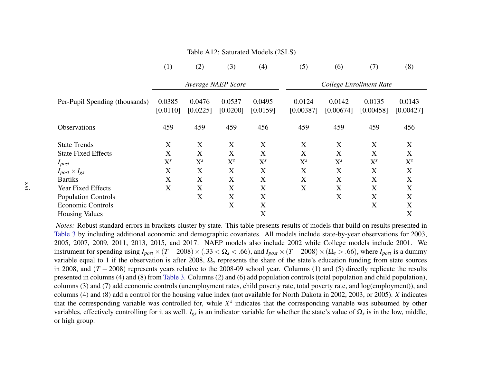|                                | (1)                | (2)                | (3)                | (4)                | (5)                     | (6)                 | (7)                 | (8)                 |
|--------------------------------|--------------------|--------------------|--------------------|--------------------|-------------------------|---------------------|---------------------|---------------------|
|                                |                    |                    | Average NAEP Score |                    | College Enrollment Rate |                     |                     |                     |
| Per-Pupil Spending (thousands) | 0.0385<br>[0.0110] | 0.0476<br>[0.0225] | 0.0537<br>[0.0200] | 0.0495<br>[0.0159] | 0.0124<br>[0.00387]     | 0.0142<br>[0.00674] | 0.0135<br>[0.00458] | 0.0143<br>[0.00427] |
| <b>Observations</b>            | 459                | 459                | 459                | 456                | 459                     | 459                 | 459                 | 456                 |
| <b>State Trends</b>            | X                  | X                  | X                  | X                  | X                       | X                   | X                   | X                   |
| <b>State Fixed Effects</b>     | X                  | X                  | X                  | X                  | X                       | X                   | X                   | X                   |
| $I_{post}$                     | $X^{s}$            | $X^{s}$            | $X^{s}$            | $X^{s}$            | $X^{s}$                 | $X^{s}$             | $X^{s}$             | $X^s$               |
| $I_{post} \times I_{gs}$       | X                  | X                  | X                  | X                  | X                       | X                   | X                   | X                   |
| <b>Bartiks</b>                 | X                  | X                  | X                  | X                  | X                       | X                   | X                   | X                   |
| <b>Year Fixed Effects</b>      | X                  | X                  | X                  | X                  | X                       | X                   | X                   | X                   |
| <b>Population Controls</b>     |                    | X                  | X                  | X                  |                         | X                   | X                   | X                   |
| <b>Economic Controls</b>       |                    |                    | X                  | X                  |                         |                     | X                   | X                   |
| <b>Housing Values</b>          |                    |                    |                    | X                  |                         |                     |                     | X                   |

Table A12: Saturated Models (2SLS)

 *Notes:* Robust standard errors in brackets cluster by state. This table presents results of models that build on results presented in [Table](#page--1-4) 3 by including additional economic and demographic covariates. All models include state-by-year observations for 2003, 2005, 2007, 2009, 2011, 2013, 2015, and 2017. NAEP models also include 2002 while College models include 2001. Weinstrument for spending using  $I_{post} \times (T - 2008) \times (0.33 \le \Omega_s \le 0.66)$ , and  $I_{post} \times (T - 2008) \times (\Omega_s > 0.66)$ , where  $I_{post}$  is a dummy variable equal to 1 if the observation is after 2008, Ω*<sup>s</sup>* represents the share of the state's education funding from state sources in 2008, and  $(T - 2008)$  represents years relative to the 2008-09 school year. Columns (1) and (5) directly replicate the results presented in columns (4) and (8) from [Table](#page--1-4) 3. Columns (2) and (6) add population controls (total population and child population), columns (3) and (7) add economic controls (unemployment rates, child poverty rate, total poverty rate, and log(employment)), and columns (4) and (8) add <sup>a</sup> control for the housing value index (not available for North Dakota in 2002, 2003, or 2005). *X* indicates that the corresponding variable was controlled for, while *<sup>X</sup><sup>s</sup>* indicates that the corresponding variable was subsumed by other variables, effectively controlling for it as well. *<sup>I</sup>gs* is an indicator variable for whether the state's value of <sup>Ω</sup>*<sup>s</sup>* is in the low, middle, or high group.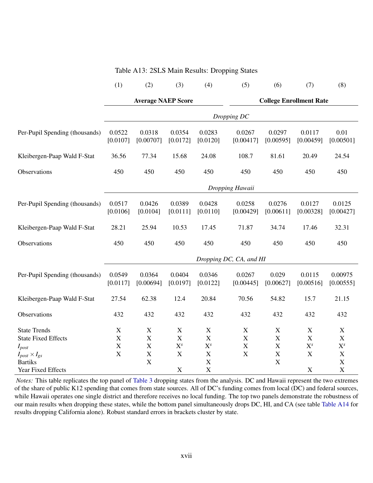|                                                                  | (1)                             | (2)                                                     | (3)                                 | (4)                                       | (5)                     | (6)                                       | (7)                       | (8)                                                               |  |  |
|------------------------------------------------------------------|---------------------------------|---------------------------------------------------------|-------------------------------------|-------------------------------------------|-------------------------|-------------------------------------------|---------------------------|-------------------------------------------------------------------|--|--|
|                                                                  |                                 | <b>Average NAEP Score</b>                               |                                     |                                           |                         | <b>College Enrollment Rate</b>            |                           |                                                                   |  |  |
|                                                                  |                                 | Dropping DC                                             |                                     |                                           |                         |                                           |                           |                                                                   |  |  |
| Per-Pupil Spending (thousands)                                   | 0.0522<br>[0.0107]              | 0.0318<br>[0.00707]                                     | 0.0354<br>[0.0172]                  | 0.0283<br>[0.0120]                        | 0.0267<br>[0.00417]     | 0.0297<br>[0.00595]                       | 0.0117<br>[0.00459]       | 0.01<br>[0.00501]                                                 |  |  |
| Kleibergen-Paap Wald F-Stat                                      | 36.56                           | 77.34                                                   | 15.68                               | 24.08                                     | 108.7                   | 81.61                                     | 20.49                     | 24.54                                                             |  |  |
| Observations                                                     | 450                             | 450                                                     | 450                                 | 450                                       | 450                     | 450                                       | 450                       | 450                                                               |  |  |
|                                                                  | Dropping Hawaii                 |                                                         |                                     |                                           |                         |                                           |                           |                                                                   |  |  |
| Per-Pupil Spending (thousands)                                   | 0.0517<br>[0.0106]              | 0.0426<br>[0.0104]                                      | 0.0389<br>[0.0111]                  | 0.0428<br>[0.0110]                        | 0.0258<br>[0.00429]     | 0.0276<br>[0.00611]                       | 0.0127<br>[0.00328]       | 0.0125<br>[0.00427]                                               |  |  |
| Kleibergen-Paap Wald F-Stat                                      | 28.21                           | 25.94                                                   | 10.53                               | 17.45                                     | 71.87                   | 34.74                                     | 17.46                     | 32.31                                                             |  |  |
| Observations                                                     | 450                             | 450                                                     | 450                                 | 450                                       | 450                     | 450                                       | 450                       | 450                                                               |  |  |
|                                                                  |                                 |                                                         |                                     |                                           | Dropping DC, CA, and HI |                                           |                           |                                                                   |  |  |
| Per-Pupil Spending (thousands)                                   | 0.0549<br>[0.0117]              | 0.0364<br>[0.00694]                                     | 0.0404<br>[0.0197]                  | 0.0346<br>[0.0122]                        | 0.0267<br>[0.00445]     | 0.029<br>[0.00627]                        | 0.0115<br>[0.00516]       | 0.00975<br>[0.00555]                                              |  |  |
| Kleibergen-Paap Wald F-Stat                                      | 27.54                           | 62.38                                                   | 12.4                                | 20.84                                     | 70.56                   | 54.82                                     | 15.7                      | 21.15                                                             |  |  |
| Observations                                                     | 432                             | 432                                                     | 432                                 | 432                                       | 432                     | 432                                       | 432                       | 432                                                               |  |  |
| <b>State Trends</b><br><b>State Fixed Effects</b><br>$I_{post}$  | X<br>$\mathbf X$<br>$\mathbf X$ | $\mathbf X$<br>$\boldsymbol{\mathrm{X}}$<br>$\mathbf X$ | $\mathbf X$<br>$\mathbf X$<br>$X^s$ | X<br>$\mathbf X$<br>$X^{s}$               | $\mathbf X$<br>X<br>X   | $\mathbf X$<br>$\mathbf X$<br>$\mathbf X$ | $\mathbf X$<br>X<br>$X^s$ | $\boldsymbol{\mathrm{X}}$<br>$\boldsymbol{\mathrm{X}}$<br>$X^{s}$ |  |  |
| $I_{post} \times I_{gs}$<br><b>Bartiks</b><br>Year Fixed Effects | $\mathbf X$                     | $\mathbf X$<br>$\boldsymbol{\mathrm{X}}$                | $\mathbf X$<br>$\mathbf X$          | $\mathbf X$<br>$\mathbf X$<br>$\mathbf X$ | X                       | $\mathbf X$<br>X                          | $\mathbf X$<br>X          | $\mathbf X$<br>$\mathbf X$<br>$\mathbf X$                         |  |  |

#### Table A13: 2SLS Main Results: Dropping States

*Notes:* This table replicates the top panel of [Table 3](#page--1-3) dropping states from the analysis. DC and Hawaii represent the two extremes of the share of public K12 spending that comes from state sources. All of DC's funding comes from local (DC) and federal sources, while Hawaii operates one single district and therefore receives no local funding. The top two panels demonstrate the robustness of our main results when dropping these states, while the bottom panel simultaneously drops DC, HI, and CA (see table [Table A14](#page-18-0) for results dropping California alone). Robust standard errors in brackets cluster by state.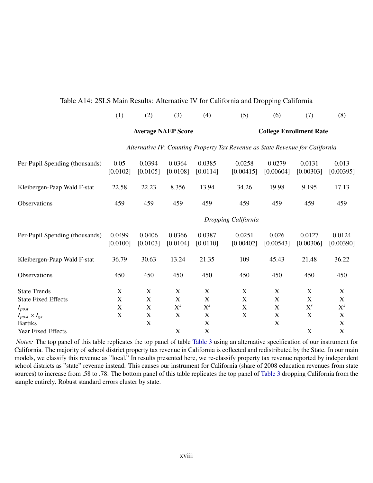<span id="page-18-0"></span>

|                                | (1)                 | (2)                                                                           | (3)                       | (4)                       | (5)                 | (6)                            | (7)                       | (8)                 |  |  |
|--------------------------------|---------------------|-------------------------------------------------------------------------------|---------------------------|---------------------------|---------------------|--------------------------------|---------------------------|---------------------|--|--|
|                                |                     | <b>Average NAEP Score</b>                                                     |                           |                           |                     | <b>College Enrollment Rate</b> |                           |                     |  |  |
|                                |                     | Alternative IV: Counting Property Tax Revenue as State Revenue for California |                           |                           |                     |                                |                           |                     |  |  |
| Per-Pupil Spending (thousands) | 0.05<br>[0.0102]    | 0.0394<br>[0.0105]                                                            | 0.0364<br>[0.0108]        | 0.0385<br>[0.0114]        | 0.0258<br>[0.00415] | 0.0279<br>[0.00604]            | 0.0131<br>[0.00303]       | 0.013<br>[0.00395]  |  |  |
| Kleibergen-Paap Wald F-stat    | 22.58               | 22.23                                                                         | 8.356                     | 13.94                     | 34.26               | 19.98                          | 9.195                     | 17.13               |  |  |
| Observations                   | 459                 | 459                                                                           | 459                       | 459                       | 459                 | 459                            | 459                       | 459                 |  |  |
|                                | Dropping California |                                                                               |                           |                           |                     |                                |                           |                     |  |  |
| Per-Pupil Spending (thousands) | 0.0499<br>[0.0100]  | 0.0406<br>[0.0103]                                                            | 0.0366<br>[0.0104]        | 0.0387<br>[0.0110]        | 0.0251<br>[0.00402] | 0.026<br>[0.00543]             | 0.0127<br>[0.00306]       | 0.0124<br>[0.00390] |  |  |
| Kleibergen-Paap Wald F-stat    | 36.79               | 30.63                                                                         | 13.24                     | 21.35                     | 109                 | 45.43                          | 21.48                     | 36.22               |  |  |
| Observations                   | 450                 | 450                                                                           | 450                       | 450                       | 450                 | 450                            | 450                       | 450                 |  |  |
| <b>State Trends</b>            | X                   | X                                                                             | X                         | $\mathbf X$               | X                   | X                              | X                         | X                   |  |  |
| <b>State Fixed Effects</b>     | $\mathbf X$         | $\mathbf X$                                                                   | $\mathbf X$               | $\boldsymbol{\mathrm{X}}$ | $\mathbf X$         | $\mathbf X$                    | $\boldsymbol{\mathrm{X}}$ | $\mathbf X$         |  |  |
| $I_{post}$                     | $\mathbf X$         | $\mathbf X$                                                                   | $X^{s}$                   | $X^s$                     | $\mathbf X$         | $\boldsymbol{\mathrm{X}}$      | $X^{s}$                   | $X^{s}$             |  |  |
| $I_{post} \times I_{gs}$       | X                   | $\mathbf X$                                                                   | X                         | $\mathbf X$               | $\mathbf X$         | X                              | X                         | X                   |  |  |
| <b>Bartiks</b>                 |                     | X                                                                             |                           | $\mathbf X$               |                     | $\mathbf X$                    |                           | X                   |  |  |
| Year Fixed Effects             |                     |                                                                               | $\boldsymbol{\mathrm{X}}$ | $\mathbf X$               |                     |                                | $\mathbf X$               | $\mathbf X$         |  |  |

#### Table A14: 2SLS Main Results: Alternative IV for California and Dropping California

*Notes:* The top panel of this table replicates the top panel of table [Table 3](#page--1-3) using an alternative specification of our instrument for California. The majority of school district property tax revenue in California is collected and redistributed by the State. In our main models, we classify this revenue as "local." In results presented here, we re-classify property tax revenue reported by independent school districts as "state" revenue instead. This causes our instrument for California (share of 2008 education revenues from state sources) to increase from .58 to .78. The bottom panel of this table replicates the top panel of [Table 3](#page--1-3) dropping California from the sample entirely. Robust standard errors cluster by state.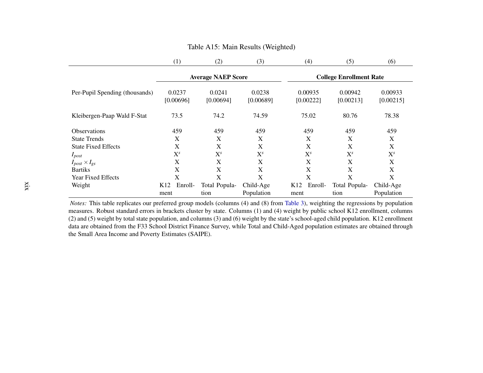|                                | $\left(1\right)$           | (2)                       | (3)                 | (4)                        | (5)                            | (6)                  |
|--------------------------------|----------------------------|---------------------------|---------------------|----------------------------|--------------------------------|----------------------|
|                                |                            | <b>Average NAEP Score</b> |                     |                            | <b>College Enrollment Rate</b> |                      |
| Per-Pupil Spending (thousands) | 0.0237<br>[0.00696]        | 0.0241<br>[0.00694]       | 0.0238<br>[0.00689] | 0.00935<br>[0.00222]       | 0.00942<br>[0.00213]           | 0.00933<br>[0.00215] |
| Kleibergen-Paap Wald F-Stat    | 73.5                       | 74.2                      | 74.59               | 75.02                      | 80.76                          | 78.38                |
| <b>Observations</b>            | 459                        | 459                       | 459                 | 459                        | 459                            | 459                  |
| <b>State Trends</b>            | X                          | X                         | X                   | X                          | X                              | X                    |
| <b>State Fixed Effects</b>     | X                          | X                         | X                   | X                          | X                              | X                    |
| $I_{post}$                     | $X^{s}$                    | $X^{s}$                   | $X^{s}$             | $X^{s}$                    | $X^{s}$                        | $X^{s}$              |
| $I_{post} \times I_{gs}$       | X                          | X                         | X                   | X                          | X                              | $\mathbf X$          |
| <b>Bartiks</b>                 | X                          | X                         | X                   | X                          | X                              | X                    |
| Year Fixed Effects             | X                          | X                         | X                   | X                          | X                              | X                    |
| Weight                         | Enroll-<br>K <sub>12</sub> | Total Popula-             | Child-Age           | Enroll-<br>K <sub>12</sub> | Total Popula-                  | Child-Age            |
|                                | ment                       | tion                      | Population          | ment                       | tion                           | Population           |

#### Table A15: Main Results (Weighted)

*Notes:* This table replicates our preferred group models (columns (4) and (8) from [Table](#page--1-4) 3), weighting the regressions by population measures. Behavior standard expressions in brackets eluster by state. Columns (1) and (4 measures. Robust standard errors in brackets cluster by state. Columns (1) and (4) weight by public school K12 enrollment, columns (2) and (5) weight by total state population, and columns (3) and (6) weight by the state's school-aged child population. K12 enrollment data are obtained from the F33 School District Finance Survey, while Total and Child-Aged population estimates are obtained throughthe Small Area Income and Poverty Estimates (SAIPE).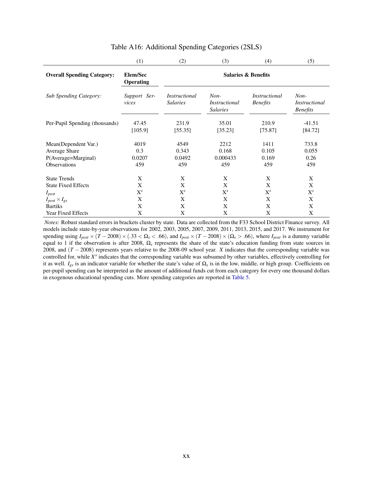|                                   | (1)                          | (2)                                     | (3)                                        | (4)                                     | (5)                                        |  |  |  |  |
|-----------------------------------|------------------------------|-----------------------------------------|--------------------------------------------|-----------------------------------------|--------------------------------------------|--|--|--|--|
| <b>Overall Spending Category:</b> | Elem/Sec<br><b>Operating</b> | <b>Salaries &amp; Benefits</b>          |                                            |                                         |                                            |  |  |  |  |
| <b>Sub Spending Category:</b>     | Support Ser-<br>vices        | <i>Instructional</i><br><b>Salaries</b> | $Non-$<br>Instructional<br><b>Salaries</b> | <i>Instructional</i><br><b>Benefits</b> | $Non-$<br>Instructional<br><b>Benefits</b> |  |  |  |  |
| Per-Pupil Spending (thousands)    | 47.45<br>[105.9]             | 231.9<br>[55.35]                        | 35.01<br>[35.23]                           | 210.9<br>[75.87]                        | $-41.51$<br>[84.72]                        |  |  |  |  |
| Mean(Dependent Var.)              | 4019                         | 4549                                    | 2212                                       | 1411                                    | 733.8                                      |  |  |  |  |
| <b>Average Share</b>              | 0.3                          | 0.343                                   | 0.168                                      | 0.105                                   | 0.055                                      |  |  |  |  |
| P(Average=Marginal)               | 0.0207                       | 0.0492                                  | 0.000433                                   | 0.169                                   | 0.26                                       |  |  |  |  |
| <b>Observations</b>               | 459                          | 459                                     | 459                                        | 459                                     | 459                                        |  |  |  |  |
| <b>State Trends</b>               | X                            | X                                       | X                                          | X                                       | X                                          |  |  |  |  |
| <b>State Fixed Effects</b>        | X                            | X                                       | X                                          | X                                       | X                                          |  |  |  |  |
| $I_{post}$                        | $X^s$                        | $\mathbf{X}^s$                          | $X^s$                                      | $X^{s}$                                 | $X^s$                                      |  |  |  |  |
| $I_{post} \times I_{gs}$          | X                            | X                                       | X                                          | X                                       | X                                          |  |  |  |  |
| <b>Bartiks</b>                    | X                            | X                                       | X                                          | X                                       | X                                          |  |  |  |  |
| <b>Year Fixed Effects</b>         | X                            | X                                       | X                                          | X                                       | X                                          |  |  |  |  |

#### Table A16: Additional Spending Categories (2SLS)

*Notes:* Robust standard errors in brackets cluster by state. Data are collected from the F33 School District Finance survey. All models include state-by-year observations for 2002, 2003, 2005, 2007, 2009, 2011, 2013, 2015, and 2017. We instrument for spending using  $I_{post} \times (T - 2008) \times (0.33 \le \Omega_s \le 0.66)$ , and  $I_{post} \times (T - 2008) \times (\Omega_s > 0.66)$ , where  $I_{post}$  is a dummy variable equal to 1 if the observation is after 2008, Ω*<sup>s</sup>* represents the share of the state's education funding from state sources in 2008, and (*T* − 2008) represents years relative to the 2008-09 school year. *X* indicates that the corresponding variable was controlled for, while X<sup>s</sup> indicates that the corresponding variable was subsumed by other variables, effectively controlling for it as well.  $I_{gs}$  is an indicator variable for whether the state's value of  $\Omega_s$  is in the low, middle, or high group. Coefficients on per-pupil spending can be interpreted as the amount of additional funds cut from each category for every one thousand dollars in exogenous educational spending cuts. More spending categories are reported in [Table 5.](#page--1-5)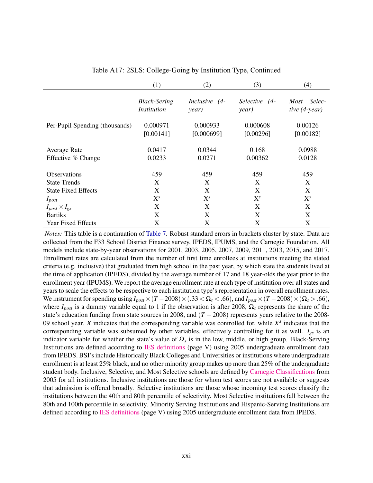|                                | (1)                                       | (2)                    | (3)                    | (4)                                |
|--------------------------------|-------------------------------------------|------------------------|------------------------|------------------------------------|
|                                | <b>Black-Sering</b><br><i>Institution</i> | Inclusive (4-<br>year) | Selective (4-<br>year) | Selec-<br>Most<br>tive $(4$ -year) |
| Per-Pupil Spending (thousands) | 0.000971                                  | 0.000933               | 0.000608               | 0.00126                            |
|                                | [0.00141]                                 | [0.000699]             | [0.00296]              | [0.00182]                          |
| Average Rate                   | 0.0417                                    | 0.0344                 | 0.168                  | 0.0988                             |
| Effective % Change             | 0.0233                                    | 0.0271                 | 0.00362                | 0.0128                             |
| <b>Observations</b>            | 459                                       | 459                    | 459                    | 459                                |
| <b>State Trends</b>            | X                                         | X                      | X                      | X                                  |
| <b>State Fixed Effects</b>     | X                                         | X                      | X                      | X                                  |
| $I_{post}$                     | $X^{s}$                                   | $X^{s}$                | $X^{s}$                | $\mathrm{X}^s$                     |
| $I_{post} \times I_{gs}$       | X                                         | X                      | X                      | X                                  |
| <b>Bartiks</b>                 | X                                         | X                      | X                      | X                                  |
| <b>Year Fixed Effects</b>      | X                                         | X                      | X                      | X                                  |

Table A17: 2SLS: College-Going by Institution Type, Continued

*Notes:* This table is a continuation of [Table 7.](#page--1-6) Robust standard errors in brackets cluster by state. Data are collected from the F33 School District Finance survey, IPEDS, IPUMS, and the Carnegie Foundation. All models include state-by-year observations for 2001, 2003, 2005, 2007, 2009, 2011, 2013, 2015, and 2017. Enrollment rates are calculated from the number of first time enrollees at institutions meeting the stated criteria (e.g. inclusive) that graduated from high school in the past year, by which state the students lived at the time of application (IPEDS), divided by the average number of 17 and 18 year-olds the year prior to the enrollment year (IPUMS). We report the average enrollment rate at each type of institution over all states and years to scale the effects to be respective to each institution type's representation in overall enrollment rates. We instrument for spending using  $I_{post} \times (T - 2008) \times (0.33 < \Omega_s < 0.66)$ , and  $I_{post} \times (T - 2008) \times (\Omega_s > 0.66)$ , where  $I_{post}$  is a dummy variable equal to 1 if the observation is after 2008,  $\Omega_s$  represents the share of the state's education funding from state sources in 2008, and  $(T - 2008)$  represents years relative to the 2008-09 school year. *X* indicates that the corresponding variable was controlled for, while  $X<sup>s</sup>$  indicates that the corresponding variable was subsumed by other variables, effectively controlling for it as well. *Igs* is an indicator variable for whether the state's value of  $\Omega_s$  is in the low, middle, or high group. Black-Serving Institutions are defined according to [IES definitions](https://nces.ed.gov/pubs2008/2008156.pdf) (page V) using 2005 undergraduate enrollment data from IPEDS. BSI's include Historically Black Colleges and Universities or institutions where undergraduate enrollment is at least 25% black, and no other minority group makes up more than 25% of the undergraduate student body. Inclusive, Selective, and Most Selective schools are defined by [Carnegie Classifications](http://carnegieclassifications.iu.edu/classification_descriptions/undergraduate_profile.php) from 2005 for all institutions. Inclusive institutions are those for whom test scores are not available or suggests that admission is offered broadly. Selective institutions are those whose incoming test scores classify the institutions between the 40th and 80th percentile of selectivity. Most Selective institutions fall between the 80th and 100th percentile in selectivity. Minority Serving Institutions and Hispanic-Serving Institutions are defined according to [IES definitions](https://nces.ed.gov/pubs2008/2008156.pdf) (page V) using 2005 undergraduate enrollment data from IPEDS.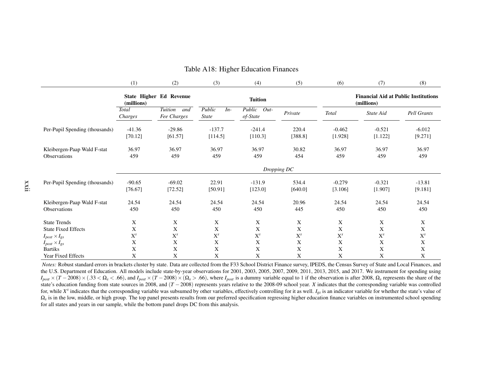|                                                    | (1)                 | (2)                                  | (3)                             | (4)                          | (5)              | (6)                 | (7)                                                       | (8)                 |  |  |  |
|----------------------------------------------------|---------------------|--------------------------------------|---------------------------------|------------------------------|------------------|---------------------|-----------------------------------------------------------|---------------------|--|--|--|
|                                                    | (millions)          | State Higher Ed Revenue              | <b>Tuition</b>                  |                              |                  |                     | <b>Financial Aid at Public Institutions</b><br>(millions) |                     |  |  |  |
|                                                    | Total<br>Charges    | <b>Tuition</b><br>and<br>Fee Charges | Public<br>$In-$<br><i>State</i> | Public<br>$Out-$<br>of-State | Private          | Total               | State Aid                                                 | Pell Grants         |  |  |  |
| Per-Pupil Spending (thousands)                     | $-41.36$<br>[70.12] | $-29.86$<br>[61.57]                  | $-137.7$<br>[114.5]             | $-241.4$<br>[110.3]          | 220.4<br>[388.8] | $-0.462$<br>[1.928] | $-0.521$<br>[1.122]                                       | $-6.012$<br>[9.271] |  |  |  |
| Kleibergen-Paap Wald F-stat<br>Observations        | 36.97<br>459        | 36.97<br>459                         | 36.97<br>459                    | 36.97<br>459                 | 30.82<br>454     | 36.97<br>459        | 36.97<br>459                                              | 36.97<br>459        |  |  |  |
|                                                    | Dropping DC         |                                      |                                 |                              |                  |                     |                                                           |                     |  |  |  |
| Per-Pupil Spending (thousands)                     | $-90.65$<br>[76.67] | $-69.02$<br>[72.52]                  | 22.91<br>[50.91]                | $-131.9$<br>[123.0]          | 534.4<br>[640.0] | $-0.279$<br>[3.106] | $-0.321$<br>[1.907]                                       | $-13.81$<br>[9.181] |  |  |  |
| Kleibergen-Paap Wald F-stat<br><b>Observations</b> | 24.54<br>450        | 24.54<br>450                         | 24.54<br>450                    | 24.54                        | 20.96<br>445     | 24.54<br>450        | 24.54<br>450                                              | 24.54               |  |  |  |
|                                                    |                     |                                      |                                 | 450                          |                  |                     |                                                           | 450                 |  |  |  |
| <b>State Trends</b>                                | X                   | X                                    | X                               | X                            | X                | X                   | X                                                         | X                   |  |  |  |
| <b>State Fixed Effects</b>                         | X                   | X                                    | X                               | X                            | X                | $\mathbf X$         | X                                                         | X                   |  |  |  |
| $I_{post} \times I_{gs}$                           | $X^s$               | $X^{s}$                              | $X^s$                           | $X^s$                        | $\mathbf{X}^s$   | $X^s$               | $X^s$                                                     | $X^s$               |  |  |  |
| $I_{post} \times I_{gs}$                           | X                   | X                                    | X                               | X                            | X                | X                   | X                                                         | X                   |  |  |  |
| <b>Bartiks</b>                                     | X                   | X                                    | X                               | X                            | X                | X                   | X                                                         | X                   |  |  |  |
| Year Fixed Effects                                 | X                   | X                                    | X                               | X                            | X                | X                   | X                                                         | X                   |  |  |  |

#### Table A18: Higher Education Finances

 *Notes:* Robust standard errors in brackets cluster by state. Data are collected from the F33 School District Finance survey, IPEDS, the Census Survey of State and Local Finances, and the U.S. Department of Education. All models include state-by-year observations for 2001, 2003, 2005, 2007, 2009, 2011, 2013, 2015, and 2017. We instrument for spending using $I_{post} \times (T - 2008) \times (0.33 < \Omega_s < 0.66)$ , and  $I_{post} \times (T - 2008) \times (\Omega_s > 0.66)$ , where  $I_{post}$  is a dummy variable equal to 1 if the observation is after 2008,  $\Omega_s$  represents the share of the state's education funding from state state's education funding from state sources in 2008, and  $(T - 2008)$  represents years relative to the 2008-09 school year. *X* indicates that the corresponding variable was controlled<br>for while *X*<sup>8</sup> indicates that the c for, while *<sup>X</sup><sup>s</sup>* indicates that the corresponding variable was subsumed by other variables, effectively controlling for it as well. *<sup>I</sup>gs* is an indicator variable for whether the state's value of  $\Omega_s$  is in the low, middle, or high group. The top panel presents results from our preferred specification regressing higher education finance variables on instrumented school spending for all states and years in our sample, while the bottom panel drops DC from this analysis.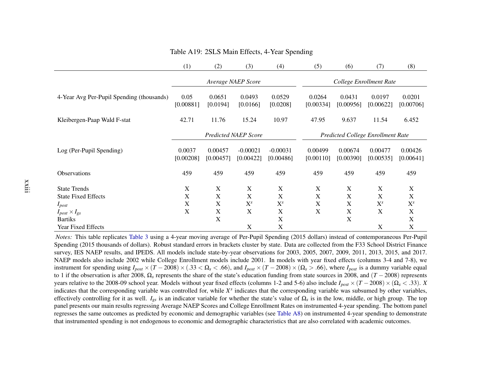|                                                   | (1)                 | (2)                  | (3)                         | (4)                     | (5)                                      | (6)                            | (7)                  | (8)                  |
|---------------------------------------------------|---------------------|----------------------|-----------------------------|-------------------------|------------------------------------------|--------------------------------|----------------------|----------------------|
|                                                   |                     |                      | Average NAEP Score          |                         | College Enrollment Rate                  |                                |                      |                      |
| 4-Year Avg Per-Pupil Spending (thousands)         | 0.05<br>[0.00881]   | 0.0651<br>[0.0194]   | 0.0493<br>[0.0166]          | 0.0529<br>[0.0208]      | 0.0264<br>[0.00334]                      | 0.0431<br>[0.00956]            | 0.0197<br>[0.00622]  | 0.0201<br>[0.00706]  |
| Kleibergen-Paap Wald F-stat                       | 42.71               | 11.76                | 15.24                       | 10.97                   | 47.95                                    | 9.637                          | 11.54                | 6.452                |
|                                                   |                     |                      | <b>Predicted NAEP Score</b> |                         | <b>Predicted College Enrollment Rate</b> |                                |                      |                      |
| Log (Per-Pupil Spending)                          | 0.0037<br>[0.00208] | 0.00457<br>[0.00457] | $-0.00021$<br>[0.00422]     | $-0.00031$<br>[0.00486] | 0.00499<br>[0.00110]                     | 0.00674<br>[0.00390]           | 0.00477<br>[0.00535] | 0.00426<br>[0.00641] |
| Observations                                      | 459                 | 459                  | 459                         | 459                     | 459                                      | 459                            | 459                  | 459                  |
| <b>State Trends</b><br><b>State Fixed Effects</b> | X<br>X              | X<br>X               | X<br>$\mathbf X$            | $\mathbf X$<br>X        | X<br>$\boldsymbol{\mathrm{X}}$           | X<br>$\boldsymbol{\mathrm{X}}$ | X<br>X               | $\mathbf X$<br>X     |
| $I_{post}$                                        | X                   | X                    | $X^s$                       | $X^s$                   | X                                        | X                              | $X^s$                | $X^{s}$              |
| $I_{post} \times I_{gs}$                          | X                   | $\mathbf X$          | X                           | X                       | $\boldsymbol{\mathrm{X}}$                | X                              | X                    | $\mathbf X$          |
| <b>Bartiks</b>                                    |                     | X                    |                             | $\mathbf X$             |                                          | X                              |                      | X                    |
| Year Fixed Effects                                |                     |                      | X                           | X                       |                                          |                                | X                    | X                    |

#### Table A19: 2SLS Main Effects, 4-Year Spending

*Notes:* This table replicates [Table](#page--1-4) 3 using a 4-year moving average of Per-Pupil Spending (2015 dollars) instead of contemporaneous Per-Pupil Spending (2015 thousands of dollars). Robust standard errors in brackets cluster by state. Data are collected from the F33 School District Finance survey, IES NAEP results, and IPEDS. All models include state-by-year observations for 2003, 2005, 2007, 2009, 2011, 2013, 2015, and 2017. NAEP models also include 2002 while College Enrollment models include 2001. In models with year fixed effects (columns 3-4 and 7-8), weinstrument for spending using  $I_{post} \times (T - 2008) \times (0.33 < \Omega_s < 0.66)$ , and  $I_{post} \times (T - 2008) \times (\Omega_s > 0.66)$ , where  $I_{post}$  is a dummy variable equal to 1 if the observation is often 2008. O represents the observation of the state to 1 if the observation is after 2008,  $\Omega_s$  represents the share of the state's education funding from state sources in 2008, and ( $T = 2008$ ) represents years relative to the 2008-09 school year. Models without year fixed effects (columns 1-2 and 5-6) also include  $I_{post} \times (T - 2008) \times (\Omega_s < .33)$ . *X*  indicates that the corresponding variable was controlled for, while *<sup>X</sup><sup>s</sup>* indicates that the corresponding variable was subsumed by other variables, effectively controlling for it as well. *<sup>I</sup>gs* is an indicator variable for whether the state's value of <sup>Ω</sup>*<sup>s</sup>* is in the low, middle, or high group. The top panel presents our main results regressing Average NAEP Scores and College Enrollment Rates on instrumented 4-year spending. The bottom panelregresses the same outcomes as predicted by economic and demographic variables (see [Table](#page-13-0) A8) on instrumented 4-year spending to demonstrate that instrumented spending is not endogenous to economic and demographic characteristics that are also correlated with academic outcomes.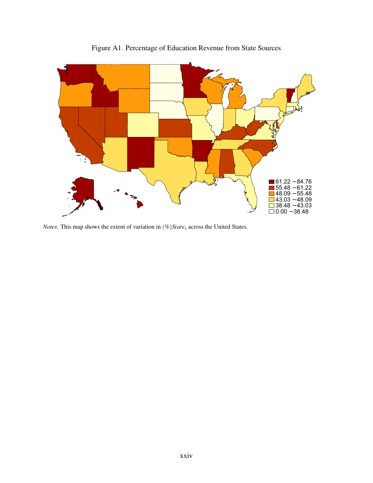

Figure A1. Percentage of Education Revenue from State Sources

*Notes*: This map shows the extent of variation in (%)*State<sup>s</sup>* across the United States.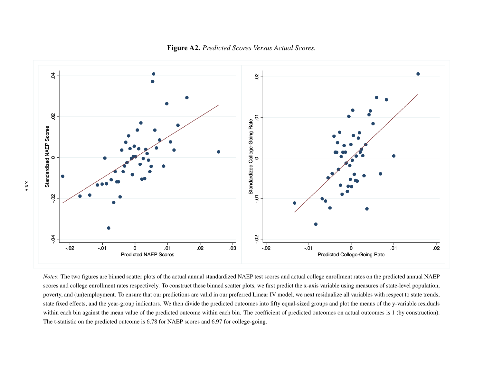

Figure A2. *Predicted Scores Versus Actual Scores.*

*Notes*: The two figures are binned scatter plots of the actual annual standardized NAEP test scores and actual college enrollment rates on the predicted annual NAEPscores and college enrollment rates respectively. To construct these binned scatter plots, we first predict the x-axis variable using measures of state-level population, poverty, and (un)employment. To ensure that our predictions are valid in our preferred Linear IV model, we next residualize all variables with respec<sup>t</sup> to state trends,state fixed effects, and the year-group indicators. We then divide the predicted outcomes into fifty equal-sized groups and plot the means of the y-variable residualswithin each bin against the mean value of the predicted outcome within each bin. The coefficient of predicted outcomes on actual outcomes is 1 (by construction). The t-statistic on the predicted outcome is 6.78 for NAEP scores and 6.97 for college-going.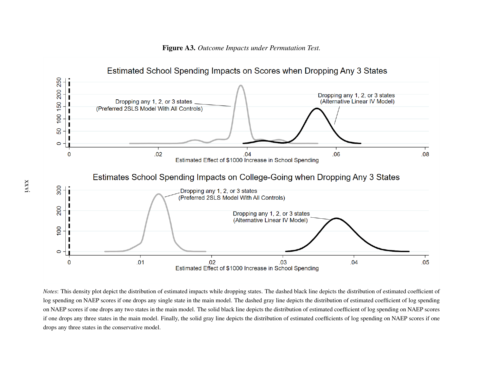

Figure A3. *Outcome Impacts under Permutation Test.*

*Notes*: This density plot depict the distribution of estimated impacts while dropping states. The dashed black line depicts the distribution of estimated coefficient oflog spending on NAEP scores if one drops any single state in the main model. The dashed gray line depicts the distribution of estimated coefficient of log spendingon NAEP scores if one drops any two states in the main model. The solid black line depicts the distribution of estimated coefficient of log spending on NAEP scoresif one drops any three states in the main model. Finally, the solid gray line depicts the distribution of estimated coefficients of log spending on NAEP scores if onedrops any three states in the conservative model.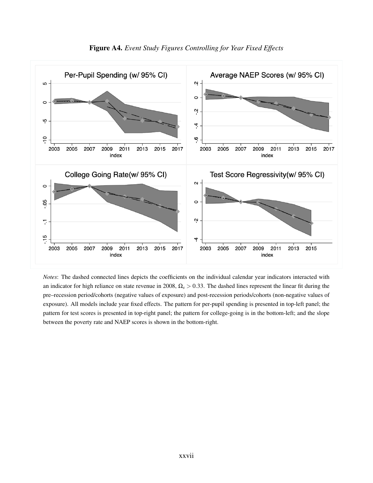

*Notes*: The dashed connected lines depicts the coefficients on the individual calendar year indicators interacted with an indicator for high reliance on state revenue in 2008, Ω*<sup>s</sup>* > 0.33. The dashed lines represent the linear fit during the pre–recession period/cohorts (negative values of exposure) and post-recession periods/cohorts (non-negative values of exposure). All models include year fixed effects. The pattern for per-pupil spending is presented in top-left panel; the pattern for test scores is presented in top-right panel; the pattern for college-going is in the bottom-left; and the slope between the poverty rate and NAEP scores is shown in the bottom-right.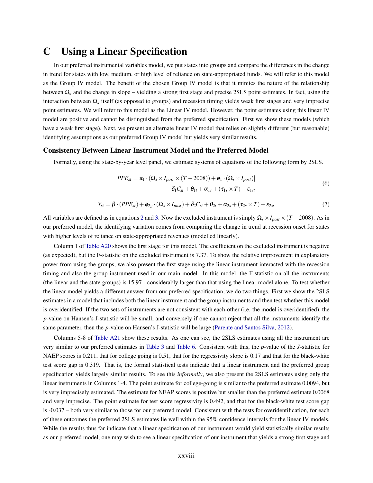### C Using a Linear Specification

In our preferred instrumental variables model, we put states into groups and compare the differences in the change in trend for states with low, medium, or high level of reliance on state-appropriated funds. We will refer to this model as the Group IV model. The benefit of the chosen Group IV model is that it mimics the nature of the relationship between Ω*<sup>s</sup>* and the change in slope – yielding a strong first stage and precise 2SLS point estimates. In fact, using the interaction between Ω*<sup>s</sup>* itself (as opposed to groups) and recession timing yields weak first stages and very imprecise point estimates. We will refer to this model as the Linear IV model. However, the point estimates using this linear IV model are positive and cannot be distinguished from the preferred specification. First we show these models (which have a weak first stage). Next, we present an alternate linear IV model that relies on slightly different (but reasonable) identifying assumptions as our preferred Group IV model but yields very similar results.

#### Consistency Between Linear Instrument Model and the Preferred Model

Formally, using the state-by-year level panel, we estimate systems of equations of the following form by 2SLS.

$$
PPE_{st} = \pi_1 \cdot (\Omega_s \times I_{post} \times (T - 2008)) + \phi_1 \cdot (\Omega_s \times I_{post})
$$
  
+  $\delta_1 C_{st} + \theta_{1t} + \alpha_{1s} + (\tau_{1s} \times T) + \epsilon_{1st}$  (6)

$$
Y_{st} = \beta \cdot (PPE_{st}) + \phi_{2g} \cdot (\Omega_s \times I_{post}) + \delta_2 C_{st} + \theta_{2t} + \alpha_{2s} + (\tau_{2s} \times T) + \varepsilon_{2st}
$$
(7)

All variables are defined as in equations [2](#page--1-7) and [3.](#page--1-8) Now the excluded instrument is simply  $\Omega_s \times I_{post} \times (T - 2008)$ . As in our preferred model, the identifying variation comes from comparing the change in trend at recession onset for states with higher levels of reliance on state-appropriated revenues (modelled linearly).

Column 1 of [Table A20](#page-31-0) shows the first stage for this model. The coefficient on the excluded instrument is negative (as expected), but the F-statistic on the excluded instrument is 7.37. To show the relative improvement in explanatory power from using the groups, we also present the first stage using the linear instrument interacted with the recession timing and also the group instrument used in our main model. In this model, the F-statistic on all the instruments (the linear and the state groups) is 15.97 - considerably larger than that using the linear model alone. To test whether the linear model yields a different answer from our preferred specification, we do two things. First we show the 2SLS estimates in a model that includes both the linear instrument and the group instruments and then test whether this model is overidentified. If the two sets of instruments are not consistent with each-other (i.e. the model is overidentified), the *p*-value on Hansen's J-statistic will be small, and conversely if one cannot reject that all the instruments identify the same parameter, then the *p*-value on Hansen's J-statistic will be large [\(Parente and Santos Silva,](#page--1-9) [2012\)](#page--1-9).

Columns 5-8 of [Table A21](#page-32-0) show these results. As one can see, the 2SLS estimates using all the instrument are very similar to our preferred estimates in [Table 3](#page--1-3) and [Table 6.](#page--1-10) Consistent with this, the *p*-value of the *J*-statistic for NAEP scores is 0.211, that for college going is 0.51, that for the regressivity slope is 0.17 and that for the black-white test score gap is 0.319. That is, the formal statistical tests indicate that a linear instrument and the preferred group specification yields largely similar results. To see this *informally*, we also present the 2SLS estimates using only the linear instruments in Columns 1-4. The point estimate for college-going is similar to the preferred estimate 0.0094, but is very imprecisely estimated. The estimate for NEAP scores is positive but smaller than the preferred estimate 0.0068 and very imprecise. The point estimate for test score regressivity is 0.492, and that for the black-white test score gap is -0.037 – both very similar to those for our preferred model. Consistent with the tests for overidentification, for each of these outcomes the preferred 2SLS estimates lie well within the 95% confidence intervals for the linear IV models. While the results thus far indicate that a linear specification of our instrument would yield statistically similar results as our preferred model, one may wish to see a linear specification of our instrument that yields a strong first stage and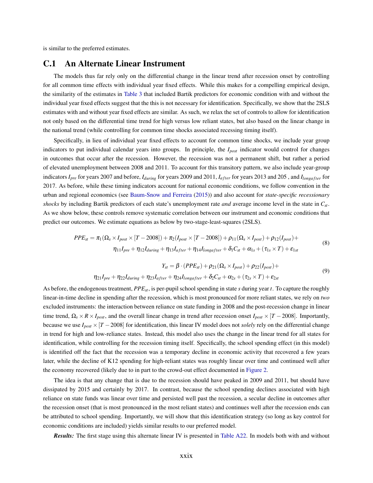is similar to the preferred estimates.

#### C.1 An Alternate Linear Instrument

The models thus far rely only on the differential change in the linear trend after recession onset by controlling for all common time effects with individual year fixed effects. While this makes for a compelling empirical design, the similarity of the estimates in [Table 3](#page--1-3) that included Bartik predictors for economic condition with and without the individual year fixed effects suggest that the this is not necessary for identification. Specifically, we show that the 2SLS estimates with and without year fixed effects are similar. As such, we relax the set of controls to allow for identification not only based on the differential time trend for high versus low reliant states, but also based on the linear change in the national trend (while controlling for common time shocks associated recessing timing itself).

Specifically, in lieu of individual year fixed effects to account for common time shocks, we include year group indicators to put individual calendar years into groups. In principle, the *Ipost* indicator would control for changes in outcomes that occur after the recession. However, the recession was not a permanent shift, but rather a period of elevated unemployment between 2008 and 2011. To account for this transitory pattern, we also include year-group indicators *I<sub>pre</sub>* for years 2007 and before, *I<sub>during</sub>* for years 2009 and 2011, *I<sub>after</sub>* for years 2013 and 205, and *I<sub>longafter*</sub> for 2017. As before, while these timing indicators account for national economic conditions, we follow convention in the urban and regional economics (see [Baum-Snow and Ferreira](#page--1-11) [\(2015\)](#page--1-11)) and also account for *state-specific recessionary shocks* by including Bartik predictors of each state's unemployment rate *and* average income level in the state in *Cst*. As we show below, these controls remove systematic correlation between our instrument and economic conditions that predict our outcomes. We estimate equations as below by two-stage-least-squares (2SLS).

$$
PPE_{st} = \pi_1 (\Omega_s \times I_{post} \times [T - 2008]) + \pi_2 (I_{post} \times [T - 2008]) + \rho_{11} (\Omega_s \times I_{post}) + \rho_{12} (I_{post}) +
$$
  

$$
\eta_{11} I_{pre} + \eta_{12} I_{during} + \eta_{13} I_{after} + \eta_{14} I_{longafter} + \delta_1 C_{st} + \alpha_{1s} + (\tau_{1s} \times T) + \epsilon_{1st}
$$
(8)

$$
Y_{st} = \beta \cdot (PPE_{st}) + \rho_{21}(\Omega_s \times I_{post}) + \rho_{22}(I_{post}) +
$$
  

$$
\eta_{21}I_{pre} + \eta_{22}I_{during} + \eta_{23}I_{after} + \eta_{24}I_{longafter} + \delta_2 C_{st} + \alpha_{2s} + (\tau_{2s} \times T) + \epsilon_{2st}
$$
  
(9)

As before, the endogenous treatment, *PPEst*, is per-pupil school spending in state *s* during year *t*. To capture the roughly linear-in-time decline in spending after the recession, which is most pronounced for more reliant states, we rely on *two* excluded instruments: the interaction between reliance on state funding in 2008 and the post-recession change in linear time trend,  $\Omega_s \times R \times I_{post}$ , and the overall linear change in trend after recession onset  $I_{post} \times [T - 2008]$ . Importantly, because we use  $I_{post} \times [T - 2008]$  for identification, this linear IV model does not *solely* rely on the differential change in trend for high and low-reliance states. Instead, this model also uses the change in the linear trend for all states for identification, while controlling for the recession timing itself. Specifically, the school spending effect (in this model) is identified off the fact that the recession was a temporary decline in economic activity that recovered a few years later, while the decline of K12 spending for high-reliant states was roughly linear over time and continued well after the economy recovered (likely due to in part to the crowd-out effect documented in [Figure 2.](#page--1-12)

The idea is that any change that is due to the recession should have peaked in 2009 and 2011, but should have dissipated by 2015 and certainly by 2017. In contrast, because the school spending declines associated with high reliance on state funds was linear over time and persisted well past the recession, a secular decline in outcomes after the recession onset (that is most pronounced in the most reliant states) and continues well after the recession ends can be attributed to school spending. Importantly, we will show that this identification strategy (so long as key control for economic conditions are included) yields similar results to our preferred model.

*Results:* The first stage using this alternate linear IV is presented in [Table A22.](#page-33-0) In models both with and without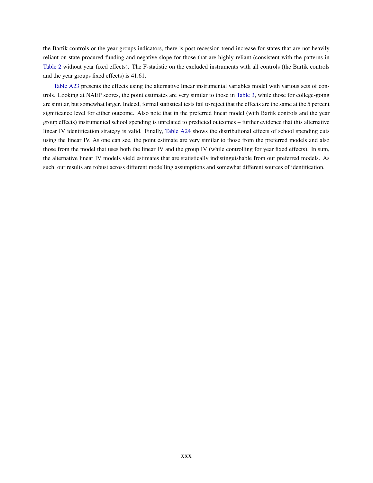the Bartik controls or the year groups indicators, there is post recession trend increase for states that are not heavily reliant on state procured funding and negative slope for those that are highly reliant (consistent with the patterns in [Table 2](#page--1-2) without year fixed effects). The F-statistic on the excluded instruments with all controls (the Bartik controls and the year groups fixed effects) is 41.61.

[Table A23](#page-34-0) presents the effects using the alternative linear instrumental variables model with various sets of controls. Looking at NAEP scores, the point estimates are very similar to those in [Table 3,](#page--1-3) while those for college-going are similar, but somewhat larger. Indeed, formal statistical tests fail to reject that the effects are the same at the 5 percent significance level for either outcome. Also note that in the preferred linear model (with Bartik controls and the year group effects) instrumented school spending is unrelated to predicted outcomes – further evidence that this alternative linear IV identification strategy is valid. Finally, [Table A24](#page-35-0) shows the distributional effects of school spending cuts using the linear IV. As one can see, the point estimate are very similar to those from the preferred models and also those from the model that uses both the linear IV and the group IV (while controlling for year fixed effects). In sum, the alternative linear IV models yield estimates that are statistically indistinguishable from our preferred models. As such, our results are robust across different modelling assumptions and somewhat different sources of identification.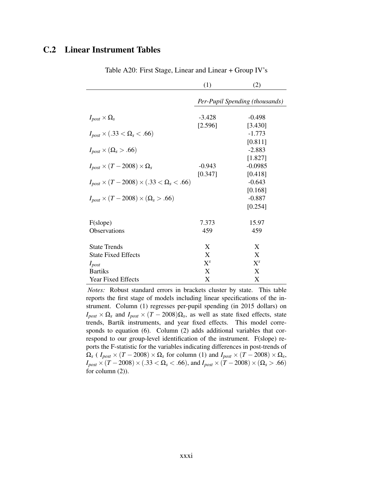#### C.2 Linear Instrument Tables

<span id="page-31-0"></span>

|                                                            | (1)      | (2)                            |
|------------------------------------------------------------|----------|--------------------------------|
|                                                            |          | Per-Pupil Spending (thousands) |
| $I_{post} \times \Omega_s$                                 | $-3.428$ | $-0.498$                       |
| $I_{post} \times (.33 < \Omega_s < .66)$                   | [2.596]  | [3.430]<br>$-1.773$            |
| $I_{post} \times (\Omega_s > .66)$                         |          | [0.811]<br>$-2.883$            |
| $I_{post} \times (T - 2008) \times \Omega_s$               | $-0.943$ | [1.827]<br>$-0.0985$           |
| $I_{post} \times (T - 2008) \times (.33 < \Omega_s < .66)$ | [0.347]  | [0.418]<br>$-0.643$            |
| $I_{post} \times (T - 2008) \times (\Omega_s > .66)$       |          | [0.168]<br>$-0.887$            |
|                                                            |          | [0.254]                        |
| F(slope)                                                   | 7.373    | 15.97                          |
| <b>Observations</b>                                        | 459      | 459                            |
| <b>State Trends</b>                                        | X        | X                              |
| <b>State Fixed Effects</b>                                 | X        | X                              |
| $I_{post}$                                                 | $X^{s}$  | $X^{s}$                        |
| <b>Bartiks</b>                                             | X        | X                              |
| <b>Year Fixed Effects</b>                                  | X        | X                              |

Table A20: First Stage, Linear and Linear + Group IV's

*Notes:* Robust standard errors in brackets cluster by state. This table reports the first stage of models including linear specifications of the instrument. Column (1) regresses per-pupil spending (in 2015 dollars) on  $I_{post} \times \Omega_s$  and  $I_{post} \times (T - 2008) \Omega_s$ , as well as state fixed effects, state trends, Bartik instruments, and year fixed effects. This model corresponds to equation (6). Column (2) adds additional variables that correspond to our group-level identification of the instrument. F(slope) reports the F-statistic for the variables indicating differences in post-trends of  $\Omega_s$  (  $I_{post} \times (T - 2008) \times \Omega_s$  for column (1) and  $I_{post} \times (T - 2008) \times \Omega_s$  $I_{post} \times (T - 2008) \times (0.33 < \Omega_s < 0.66)$ , and  $I_{post} \times (T - 2008) \times (\Omega_s > 0.66)$ for column (2)).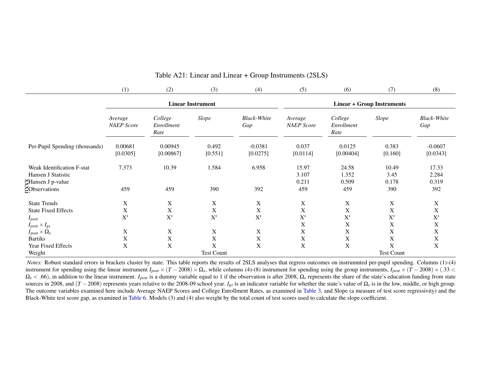|                                                                      | (1)                          | (2)                           | (3)                      | (4)                        | (5)                                | (6)                           | (7)                        | (8)                       |
|----------------------------------------------------------------------|------------------------------|-------------------------------|--------------------------|----------------------------|------------------------------------|-------------------------------|----------------------------|---------------------------|
|                                                                      |                              |                               | <b>Linear Instrument</b> |                            | <b>Linear + Group Instruments</b>  |                               |                            |                           |
|                                                                      | Average<br><b>NAEP</b> Score | College<br>Enrollment<br>Rate | Slope                    | <b>Black-White</b><br>Gap  | Average<br><b>NAEP</b> Score       | College<br>Enrollment<br>Rate | Slope                      | <b>Black-White</b><br>Gap |
| Per-Pupil Spending (thousands)                                       | 0.00681<br>[0.0305]          | 0.00945<br>[0.00867]          | 0.492<br>[0.551]         | $-0.0381$<br>[0.0275]      | 0.037<br>[0.0114]                  | 0.0125<br>[0.00404]           | 0.383<br>[0.160]           | $-0.0607$<br>[0.0343]     |
| Weak Identification F-stat<br>Hansen J Statistic<br>Hansen J p-value | 7.373                        | 10.39                         | 1.584                    | 6.958                      | 15.97<br>3.107<br>0.211            | 24.58<br>1.352<br>0.509       | 10.49<br>3.45<br>0.178     | 17.33<br>2.284<br>0.319   |
| <b>ZObservations</b>                                                 | 459                          | 459                           | 390                      | 392                        | 459                                | 459                           | 390                        | 392                       |
| <b>State Trends</b><br><b>State Fixed Effects</b>                    | X<br>X                       | X<br>X                        | $\mathbf X$<br>X         | X<br>X                     | X<br>X                             | $\mathbf X$<br>$\mathbf X$    | $\mathbf X$<br>X           | X<br>X                    |
| $I_{post}$<br>$I_{post} \times I_{gs}$                               | $X^s$<br>Χ                   | $X^s$<br>Χ                    | $X^s$<br>$\mathbf X$     | $\mathbf{X}^s$<br>X        | $\mathbf{X}^s$<br>X<br>$\mathbf X$ | $X^s$<br>X<br>$\mathbf X$     | $X^s$<br>X<br>$\mathbf X$  | $\mathbf{X}^s$<br>X<br>X  |
| $I_{post} \times \Omega_s$<br><b>Bartiks</b><br>Year Fixed Effects   | X<br>X                       | $\mathbf X$<br>X              | $\mathbf X$<br>X         | $\mathbf X$<br>$\mathbf X$ | $\mathbf X$<br>$\mathbf X$         | $\mathbf X$<br>$\mathbf X$    | $\mathbf X$<br>$\mathbf X$ | X<br>X                    |
| Weight                                                               |                              |                               | <b>Test Count</b>        |                            |                                    |                               | Test Count                 |                           |

<span id="page-32-0"></span>Table A21: Linear and Linear <sup>+</sup> Group Instruments (2SLS)

*Notes:* Robust standard errors in brackets cluster by state. This table reports the results of 2SLS analyses that regress outcomes on instrumnted per-pupil spending. Columns (1)-(4) instrument for spending using the linear instrument  $I_{post} \times (T - 2008) \times \Omega_s$ , while columns (4)-(8) instrument for spending using the group instruments,  $I_{post} \times (T - 2008) \times (0.33 \times 10^{-10})$  $\Omega_s$  < .66), in addition to the linear instrument. *I<sub>post</sub>* is a dummy variable equal to 1 if the observation is after 2008,  $\Omega_s$  represents the share of the state's education funding from state sources in 2008, and  $(T - 2008)$  represents years relative to the 2008-09 school year. *I<sub>gs</sub>* is an indicator variable for whether the state's value of  $\Omega_s$  is in the low, middle, or high group. The outcome variables examined here include Average NAEP Scores and College Enrollment Rates, as examined in [Table](#page--1-4) 3, and Slope (a measure of test score regressivity) and the Black-White test score gap, as examined in [Table](#page--1-13) 6. Models (3) and (4) also weight by the total count of test scores used to calculate the slope coefficient.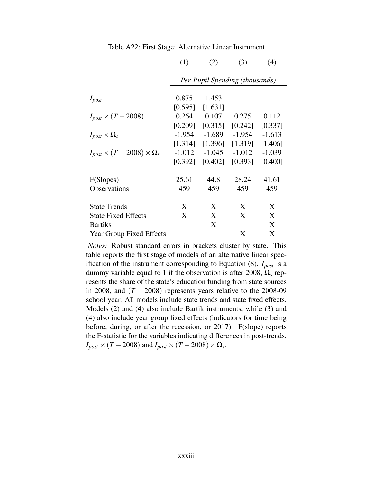<span id="page-33-0"></span>

|                                              | (1)                            | (2)      | (3)      | (4)      |  |  |  |  |  |
|----------------------------------------------|--------------------------------|----------|----------|----------|--|--|--|--|--|
|                                              | Per-Pupil Spending (thousands) |          |          |          |  |  |  |  |  |
| $I_{post}$                                   | 0.875                          | 1.453    |          |          |  |  |  |  |  |
|                                              | [0.595]                        | [1.631]  |          |          |  |  |  |  |  |
| $I_{post} \times (T - 2008)$                 | 0.264                          | 0.107    | 0.275    | 0.112    |  |  |  |  |  |
|                                              | [0.209]                        | [0.315]  | [0.242]  | [0.337]  |  |  |  |  |  |
| $I_{post} \times \Omega_s$                   | $-1.954$                       | $-1.689$ | $-1.954$ | $-1.613$ |  |  |  |  |  |
|                                              | [1.314]                        | [1.396]  | [1.319]  | [1.406]  |  |  |  |  |  |
| $I_{post} \times (T - 2008) \times \Omega_s$ | $-1.012$                       | $-1.045$ | $-1.012$ | $-1.039$ |  |  |  |  |  |
|                                              | [0.392]                        | [0.402]  | [0.393]  | [0.400]  |  |  |  |  |  |
| F(Slopes)                                    | 25.61                          | 44.8     | 28.24    | 41.61    |  |  |  |  |  |
| Observations                                 | 459                            | 459      | 459      | 459      |  |  |  |  |  |
| <b>State Trends</b>                          | X                              | X        | X        | X        |  |  |  |  |  |
| <b>State Fixed Effects</b>                   | X                              | X        | X        | X        |  |  |  |  |  |
| <b>Bartiks</b>                               |                                | X        |          | X        |  |  |  |  |  |
| <b>Year Group Fixed Effects</b>              |                                |          | X        | X        |  |  |  |  |  |

<span id="page-33-1"></span>Table A22: First Stage: Alternative Linear Instrument

*Notes:* Robust standard errors in brackets cluster by state. This table reports the first stage of models of an alternative linear specification of the instrument corresponding to Equation (8). *Ipost* is a dummy variable equal to 1 if the observation is after 2008, Ω*<sup>s</sup>* represents the share of the state's education funding from state sources in 2008, and  $(T - 2008)$  represents years relative to the 2008-09 school year. All models include state trends and state fixed effects. Models (2) and (4) also include Bartik instruments, while (3) and (4) also include year group fixed effects (indicators for time being before, during, or after the recession, or 2017). F(slope) reports the F-statistic for the variables indicating differences in post-trends,  $I_{post} \times (T - 2008)$  and  $I_{post} \times (T - 2008) \times \Omega_s$ .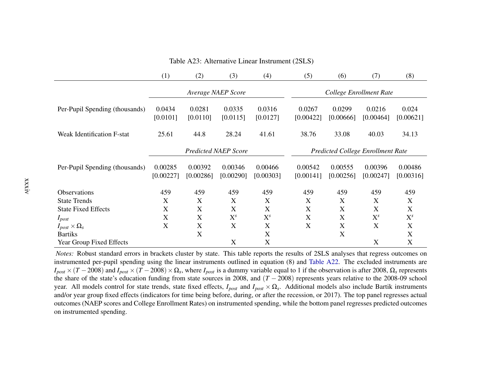|                                   | (1)                  | (2)                  | (3)                         | (4)                  | (5)                                      | (6)                  | (7)                  | (8)                  |  |
|-----------------------------------|----------------------|----------------------|-----------------------------|----------------------|------------------------------------------|----------------------|----------------------|----------------------|--|
|                                   |                      |                      | Average NAEP Score          |                      | College Enrollment Rate                  |                      |                      |                      |  |
| Per-Pupil Spending (thousands)    | 0.0434<br>[0.0101]   | 0.0281<br>[0.0110]   | 0.0335<br>[0.0115]          | 0.0316<br>[0.0127]   | 0.0267<br>[0.00422]                      | 0.0299<br>[0.00666]  | 0.0216<br>[0.00464]  | 0.024<br>[0.00621]   |  |
| <b>Weak Identification F-stat</b> | 25.61                | 44.8                 | 28.24                       | 41.61                | 38.76                                    | 33.08                | 40.03                | 34.13                |  |
|                                   |                      |                      | <b>Predicted NAEP Score</b> |                      | <b>Predicted College Enrollment Rate</b> |                      |                      |                      |  |
| Per-Pupil Spending (thousands)    | 0.00285<br>[0.00227] | 0.00392<br>[0.00286] | 0.00346<br>[0.00290]        | 0.00466<br>[0.00303] | 0.00542<br>[0.00141]                     | 0.00555<br>[0.00256] | 0.00396<br>[0.00247] | 0.00486<br>[0.00316] |  |
| Observations                      | 459                  | 459                  | 459                         | 459                  | 459                                      | 459                  | 459                  | 459                  |  |
| <b>State Trends</b>               | X                    | X                    | X                           | X                    | X                                        | X                    | X                    | X                    |  |
| <b>State Fixed Effects</b>        | X                    | X                    | X                           | X                    | X                                        | X                    | X                    | X                    |  |
| $I_{post}$                        | X                    | X                    | $X^{s}$                     | $X^{s}$              | X                                        | X                    | $X^{s}$              | $X^{s}$              |  |
| $I_{post} \times \Omega_s$        | X                    | X                    | X                           | X                    | X                                        | X                    | X                    | X                    |  |
| <b>Bartiks</b>                    |                      | X                    |                             | X                    |                                          | X                    |                      | X                    |  |
| Year Group Fixed Effects          |                      |                      | X                           | X                    |                                          |                      | X                    | X                    |  |

<span id="page-34-0"></span>Table A23: Alternative Linear Instrument (2SLS)

 *Notes:* Robust standard errors in brackets cluster by state. This table reports the results of 2SLS analyses that regress outcomes on instrumented per-pupil spending using the linear instruments outlined in equation (8) and [Table](#page-33-1) A22. The excluded instruments are  $I_{post} \times (T - 2008)$  and  $I_{post} \times (T - 2008) \times \Omega_s$ , where  $I_{post}$  is a dummy variable equal to 1 if the observation is after 2008,  $\Omega_s$  represents the share of the state's education funding from state sources in 2008, and (*T* − 2008) represents years relative to the 2008-09 school year. All models control for state trends, state fixed effects,  $I_{post}$  and  $I_{post} \times \Omega_s$ . Additional models also include Bartik instruments and/or year group fixed effects (indicators for time being before, during, or after the recession, or 2017). The top panel regresses actualoutcomes (NAEP scores and College Enrollment Rates) on instrumented spending, while the bottom panel regresses predicted outcomeson instrumented spending.